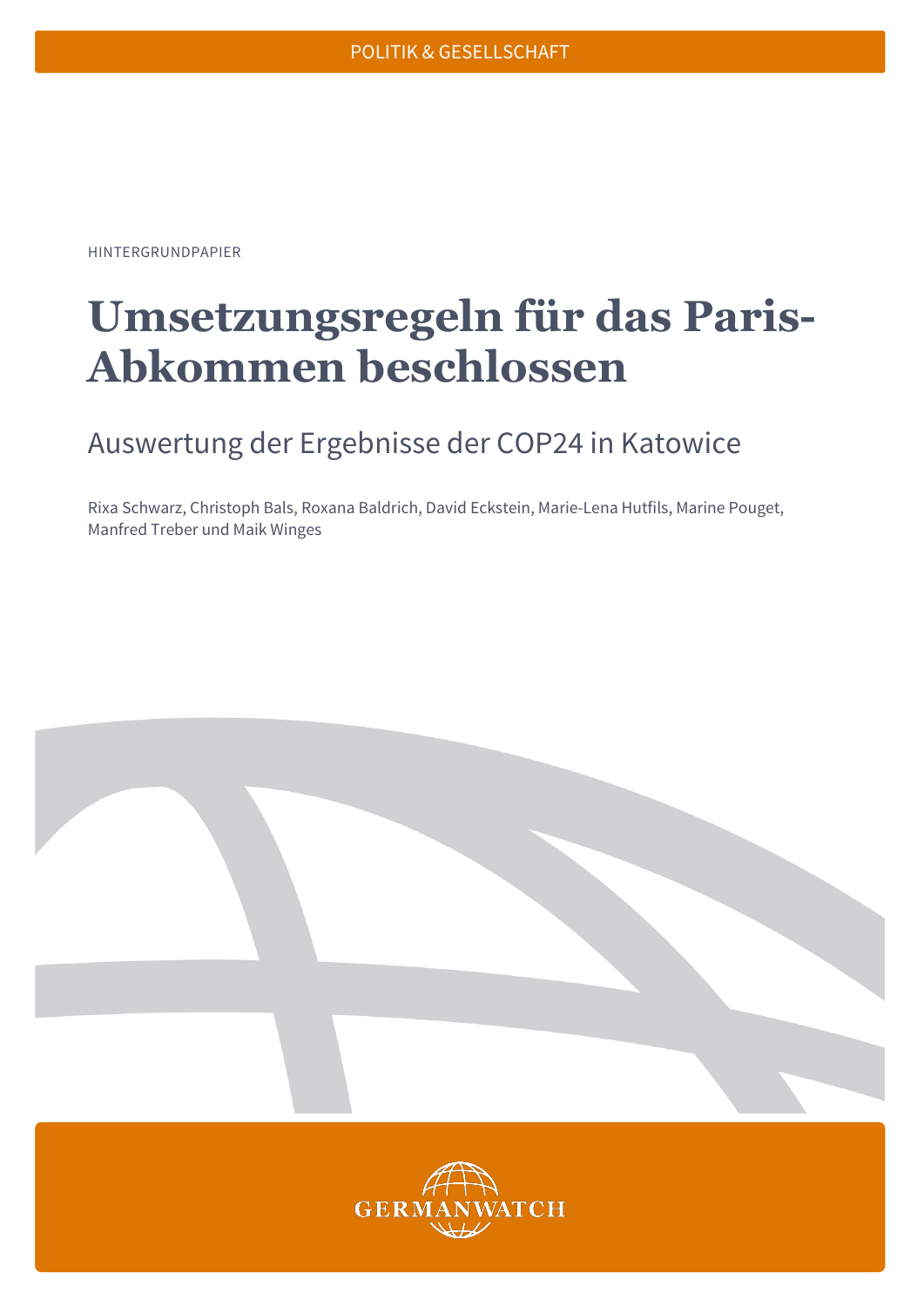HINTERGRUNDPAPIER

# **Umsetzungsregeln für das Paris-Abkommen beschlossen**

## Auswertung der Ergebnisse der COP24 in Katowice

Rixa Schwarz, Christoph Bals, Roxana Baldrich, David Eckstein, Marie-Lena Hutfils, Marine Pouget, Manfred Treber und Maik Winges

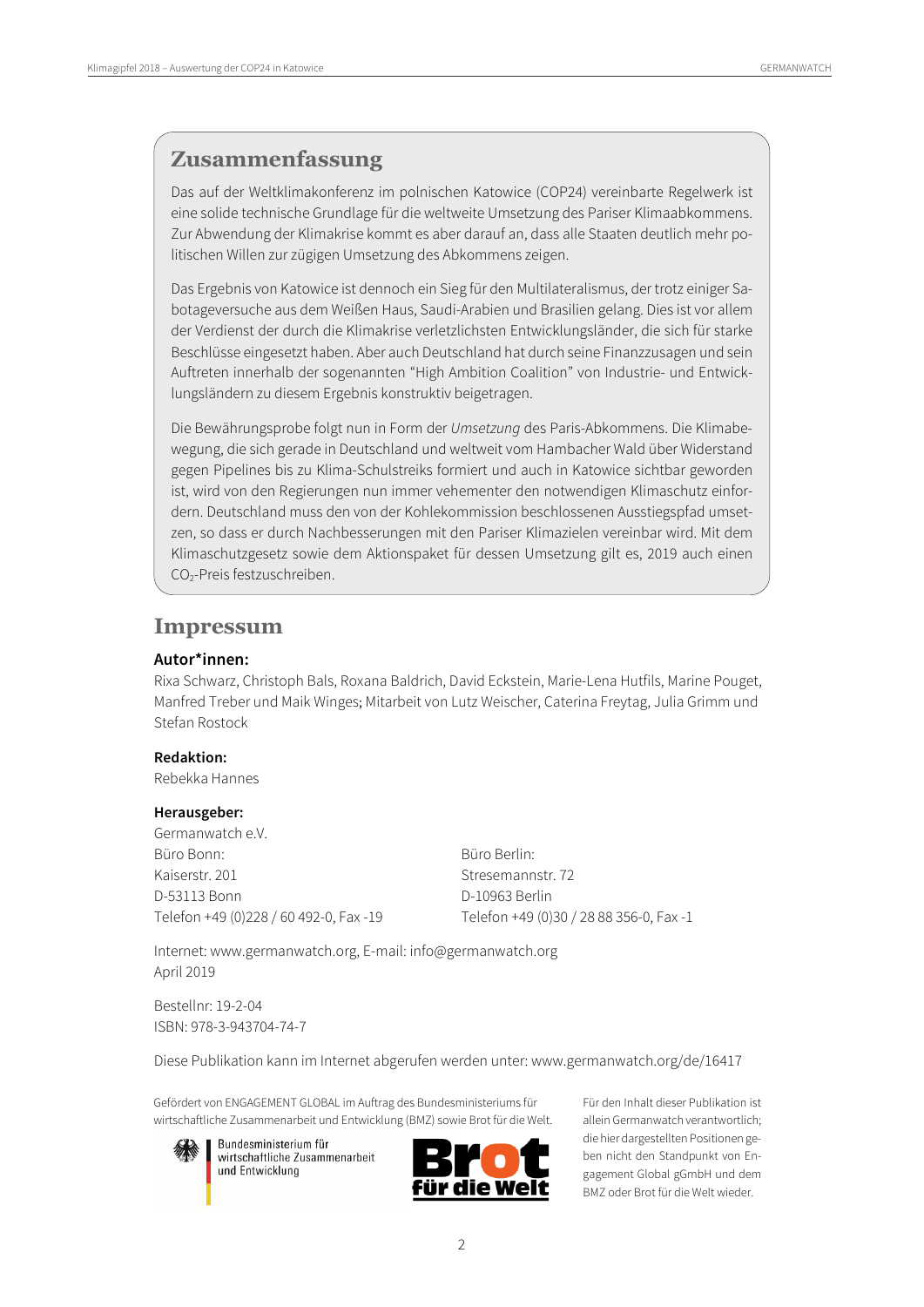## **Zusammenfassung**

Das auf der Weltklimakonferenz im polnischen Katowice (COP24) vereinbarte Regelwerk ist eine solide technische Grundlage für die weltweite Umsetzung des Pariser Klimaabkommens. Zur Abwendung der Klimakrise kommt es aber darauf an, dass alle Staaten deutlich mehr politischen Willen zur zügigen Umsetzung des Abkommens zeigen.

Das Ergebnis von Katowice ist dennoch ein Sieg für den Multilateralismus, der trotz einiger Sabotageversuche aus dem Weißen Haus, Saudi-Arabien und Brasilien gelang. Dies ist vor allem der Verdienst der durch die Klimakrise verletzlichsten Entwicklungsländer, die sich für starke Beschlüsse eingesetzt haben. Aber auch Deutschland hat durch seine Finanzzusagen und sein Auftreten innerhalb der sogenannten "High Ambition Coalition" von Industrie- und Entwicklungsländern zu diesem Ergebnis konstruktiv beigetragen.

Die Bewährungsprobe folgt nun in Form der *Umsetzung* des Paris-Abkommens. Die Klimabewegung, die sich gerade in Deutschland und weltweit vom Hambacher Wald über Widerstand gegen Pipelines bis zu Klima-Schulstreiks formiert und auch in Katowice sichtbar geworden ist, wird von den Regierungen nun immer vehementer den notwendigen Klimaschutz einfordern. Deutschland muss den von der Kohlekommission beschlossenen Ausstiegspfad umsetzen, so dass er durch Nachbesserungen mit den Pariser Klimazielen vereinbar wird. Mit dem Klimaschutzgesetz sowie dem Aktionspaket für dessen Umsetzung gilt es, 2019 auch einen CO2-Preis festzuschreiben.

### **Impressum**

#### **Autor\*innen:**

Rixa Schwarz, Christoph Bals, Roxana Baldrich, David Eckstein, Marie-Lena Hutfils, Marine Pouget, Manfred Treber und Maik Winges; Mitarbeit von Lutz Weischer, Caterina Freytag, Julia Grimm und Stefan Rostock

#### **Redaktion:**

Rebekka Hannes

#### **Herausgeber:**

Germanwatch e.V. Büro Bonn: Büro Berlin: Kaiserstr. 201 Stresemannstr. 72 D-53113 Bonn D-10963 Berlin

Telefon +49 (0)228 / 60 492-0, Fax -19 Telefon +49 (0)30 / 28 88 356-0, Fax -1

Internet: www.germanwatch.org, E-mail: info@germanwatch.org April 2019

Bestellnr: 19-2-04 ISBN: 978-3-943704-74-7

Diese Publikation kann im Internet abgerufen werden unter: www.germanwatch.org/de/16417

Gefördert von ENGAGEMENT GLOBAL im Auftrag des Bundesministeriums für wirtschaftliche Zusammenarbeit und Entwicklung (BMZ) sowie Brot für die Welt.



Bundesministerium für wirtschaftliche Zusammenarbeit und Entwicklung



Für den Inhalt dieser Publikation ist allein Germanwatch verantwortlich; die hier dargestellten Positionen geben nicht den Standpunkt von Engagement Global gGmbH und dem BMZ oder Brot für die Welt wieder.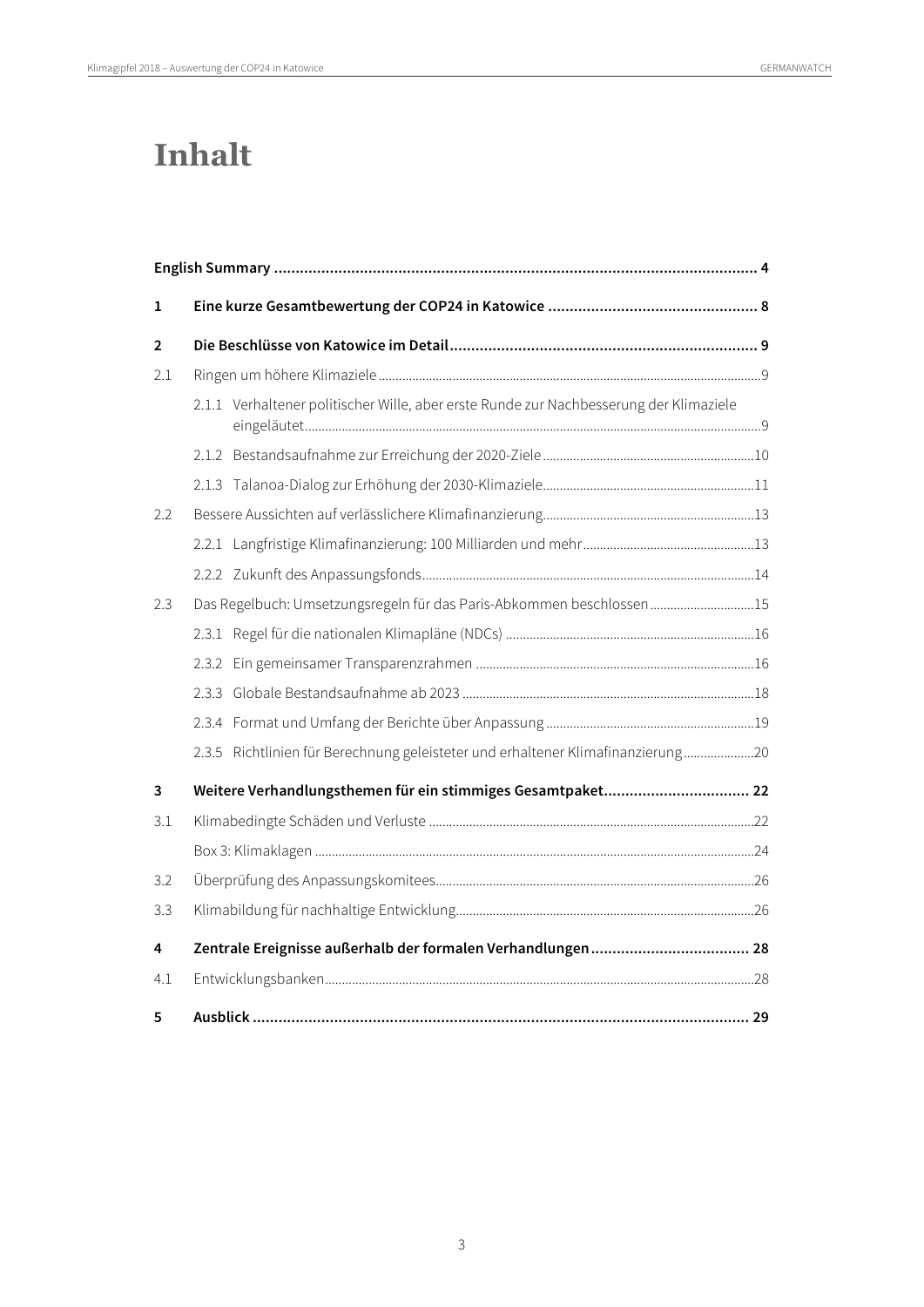# **Inhalt**

| 1              |                                                                                        |  |  |
|----------------|----------------------------------------------------------------------------------------|--|--|
| $\overline{2}$ |                                                                                        |  |  |
| 2.1            |                                                                                        |  |  |
|                | 2.1.1 Verhaltener politischer Wille, aber erste Runde zur Nachbesserung der Klimaziele |  |  |
|                |                                                                                        |  |  |
|                |                                                                                        |  |  |
| 2.2            |                                                                                        |  |  |
|                |                                                                                        |  |  |
|                |                                                                                        |  |  |
| 2.3            | Das Regelbuch: Umsetzungsregeln für das Paris-Abkommen beschlossen15                   |  |  |
|                |                                                                                        |  |  |
|                |                                                                                        |  |  |
|                |                                                                                        |  |  |
|                |                                                                                        |  |  |
|                | 2.3.5 Richtlinien für Berechnung geleisteter und erhaltener Klimafinanzierung20        |  |  |
| 3              | Weitere Verhandlungsthemen für ein stimmiges Gesamtpaket 22                            |  |  |
| 3.1            |                                                                                        |  |  |
|                |                                                                                        |  |  |
| 3.2            |                                                                                        |  |  |
| 3.3            |                                                                                        |  |  |
| 4              |                                                                                        |  |  |
| 4.1            |                                                                                        |  |  |
| 5              |                                                                                        |  |  |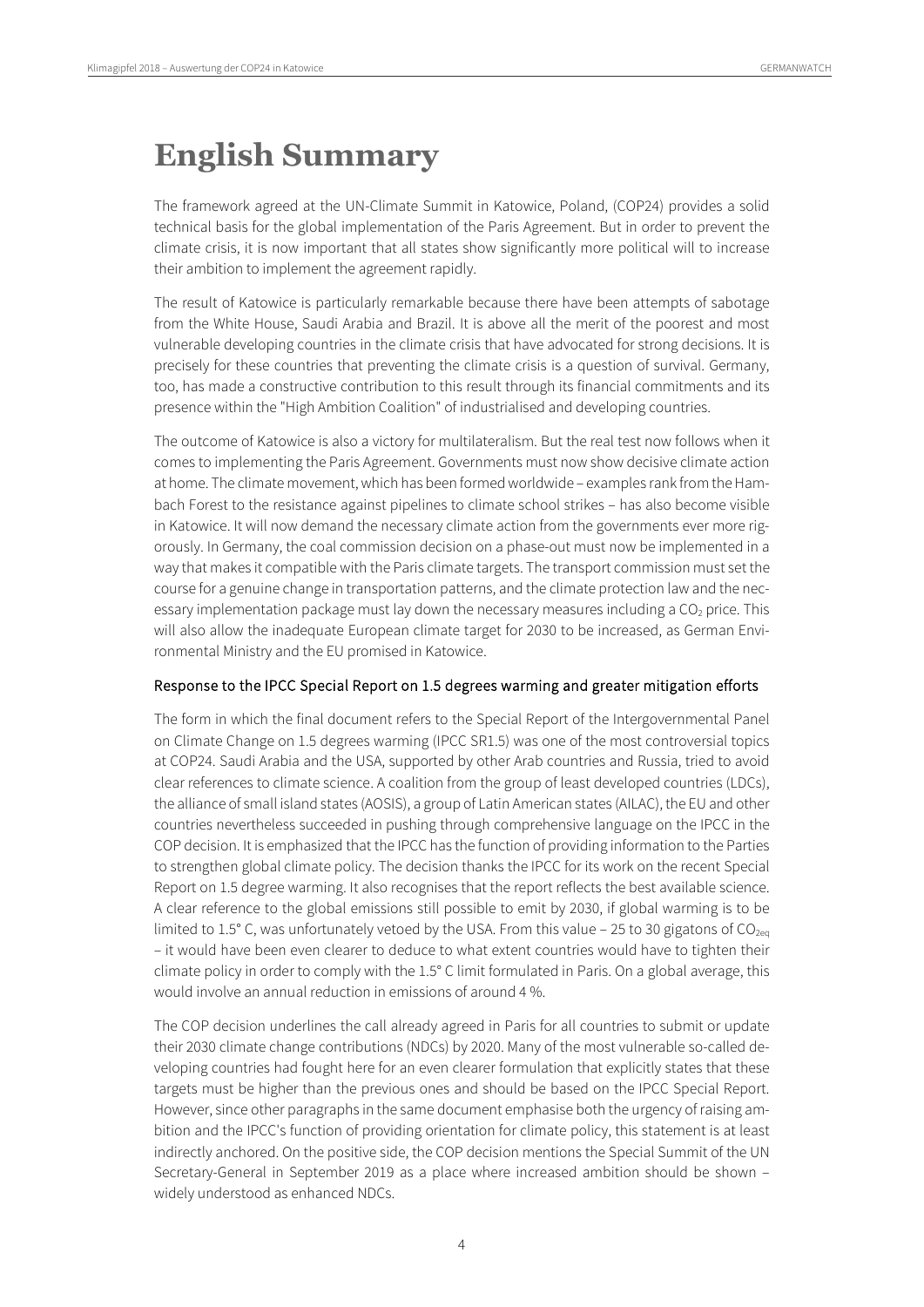# <span id="page-3-0"></span>**English Summary**

The framework agreed at the UN-Climate Summit in Katowice, Poland, (COP24) provides a solid technical basis for the global implementation of the Paris Agreement. But in order to prevent the climate crisis, it is now important that all states show significantly more political will to increase their ambition to implement the agreement rapidly.

The result of Katowice is particularly remarkable because there have been attempts of sabotage from the White House, Saudi Arabia and Brazil. It is above all the merit of the poorest and most vulnerable developing countries in the climate crisis that have advocated for strong decisions. It is precisely for these countries that preventing the climate crisis is a question of survival. Germany, too, has made a constructive contribution to this result through its financial commitments and its presence within the "High Ambition Coalition" of industrialised and developing countries.

The outcome of Katowice is also a victory for multilateralism. But the real test now follows when it comes to implementing the Paris Agreement. Governments must now show decisive climate action at home. The climate movement, which has been formed worldwide – examples rank from the Hambach Forest to the resistance against pipelines to climate school strikes – has also become visible in Katowice. It will now demand the necessary climate action from the governments ever more rigorously. In Germany, the coal commission decision on a phase-out must now be implemented in a way that makes it compatible with the Paris climate targets. The transport commission must set the course for a genuine change in transportation patterns, and the climate protection law and the necessary implementation package must lay down the necessary measures including a  $CO<sub>2</sub>$  price. This will also allow the inadequate European climate target for 2030 to be increased, as German Environmental Ministry and the EU promised in Katowice.

#### Response to the IPCC Special Report on 1.5 degrees warming and greater mitigation efforts

The form in which the final document refers to the Special Report of the Intergovernmental Panel on Climate Change on 1.5 degrees warming (IPCC SR1.5) was one of the most controversial topics at COP24. Saudi Arabia and the USA, supported by other Arab countries and Russia, tried to avoid clear references to climate science. A coalition from the group of least developed countries (LDCs), the alliance of small island states (AOSIS), a group of Latin American states (AILAC), the EU and other countries nevertheless succeeded in pushing through comprehensive language on the IPCC in the COP decision. It is emphasized that the IPCC has the function of providing information to the Parties to strengthen global climate policy. The decision thanks the IPCC for its work on the recent Special Report on 1.5 degree warming. It also recognises that the report reflects the best available science. A clear reference to the global emissions still possible to emit by 2030, if global warming is to be limited to 1.5° C, was unfortunately vetoed by the USA. From this value – 25 to 30 gigatons of CO<sub>2eq</sub> – it would have been even clearer to deduce to what extent countries would have to tighten their climate policy in order to comply with the 1.5° C limit formulated in Paris. On a global average, this would involve an annual reduction in emissions of around 4 %.

The COP decision underlines the call already agreed in Paris for all countries to submit or update their 2030 climate change contributions (NDCs) by 2020. Many of the most vulnerable so-called developing countries had fought here for an even clearer formulation that explicitly states that these targets must be higher than the previous ones and should be based on the IPCC Special Report. However, since other paragraphs in the same document emphasise both the urgency of raising ambition and the IPCC's function of providing orientation for climate policy, this statement is at least indirectly anchored. On the positive side, the COP decision mentions the Special Summit of the UN Secretary-General in September 2019 as a place where increased ambition should be shown – widely understood as enhanced NDCs.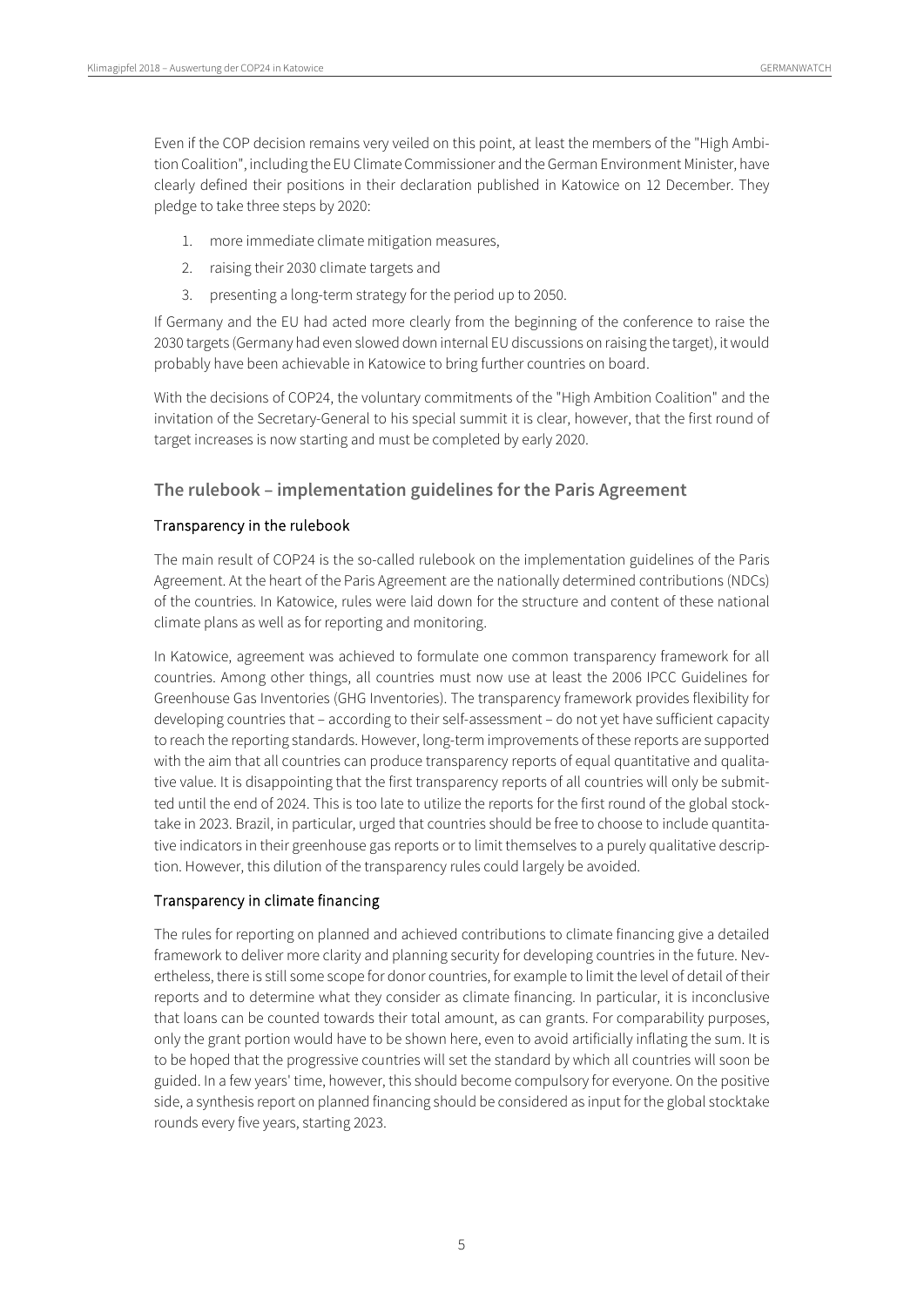Even if the COP decision remains very veiled on this point, at least the members of the "High Ambition Coalition", including the EU Climate Commissioner and the German Environment Minister, have clearly defined their positions in their declaration published in Katowice on 12 December. They pledge to take three steps by 2020:

- 1. more immediate climate mitigation measures,
- 2. raising their 2030 climate targets and
- 3. presenting a long-term strategy for the period up to 2050.

If Germany and the EU had acted more clearly from the beginning of the conference to raise the 2030 targets (Germany had even slowed down internal EU discussions on raising the target), itwould probably have been achievable in Katowice to bring further countries on board.

With the decisions of COP24, the voluntary commitments of the "High Ambition Coalition" and the invitation of the Secretary-General to his special summit it is clear, however, that the first round of target increases is now starting and must be completed by early 2020.

### **The rulebook – implementation guidelines for the Paris Agreement**

#### Transparency in the rulebook

The main result of COP24 is the so-called rulebook on the implementation guidelines of the Paris Agreement. At the heart of the Paris Agreement are the nationally determined contributions (NDCs) of the countries. In Katowice, rules were laid down for the structure and content of these national climate plans as well as for reporting and monitoring.

In Katowice, agreement was achieved to formulate one common transparency framework for all countries. Among other things, all countries must now use at least the 2006 IPCC Guidelines for Greenhouse Gas Inventories (GHG Inventories). The transparency framework provides flexibility for developing countries that – according to their self-assessment – do not yet have sufficient capacity to reach the reporting standards. However, long-term improvements of these reports are supported with the aim that all countries can produce transparency reports of equal quantitative and qualitative value. It is disappointing that the first transparency reports of all countries will only be submitted until the end of 2024. This is too late to utilize the reports for the first round of the global stocktake in 2023. Brazil, in particular, urged that countries should be free to choose to include quantitative indicators in their greenhouse gas reports or to limit themselves to a purely qualitative description. However, this dilution of the transparency rules could largely be avoided.

#### Transparency in climate financing

The rules for reporting on planned and achieved contributions to climate financing give a detailed framework to deliver more clarity and planning security for developing countries in the future. Nevertheless, there is still some scope for donor countries, for example to limit the level of detail of their reports and to determine what they consider as climate financing. In particular, it is inconclusive that loans can be counted towards their total amount, as can grants. For comparability purposes, only the grant portion would have to be shown here, even to avoid artificially inflating the sum. It is to be hoped that the progressive countries will set the standard by which all countries will soon be guided. In a few years' time, however, this should become compulsory for everyone. On the positive side, a synthesis report on planned financing should be considered as input for the global stocktake rounds every five years, starting 2023.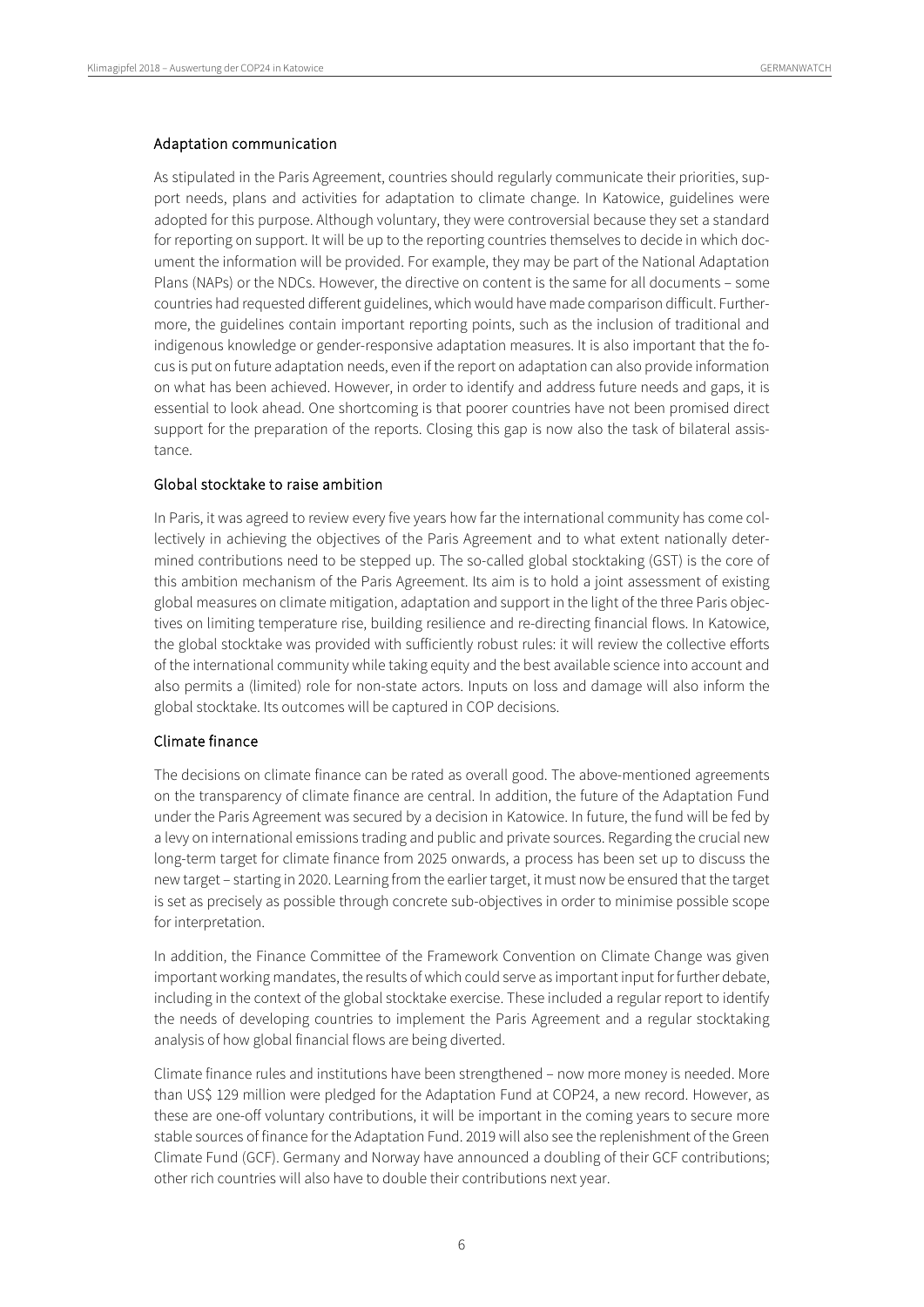#### Adaptation communication

As stipulated in the Paris Agreement, countries should regularly communicate their priorities, support needs, plans and activities for adaptation to climate change. In Katowice, guidelines were adopted for this purpose. Although voluntary, they were controversial because they set a standard for reporting on support. It will be up to the reporting countries themselves to decide in which document the information will be provided. For example, they may be part of the National Adaptation Plans (NAPs) or the NDCs. However, the directive on content is the same for all documents – some countries had requested different guidelines, which would have made comparison difficult. Furthermore, the guidelines contain important reporting points, such as the inclusion of traditional and indigenous knowledge or gender-responsive adaptation measures. It is also important that the focus is put on future adaptation needs, even if the report on adaptation can also provide information on what has been achieved. However, in order to identify and address future needs and gaps, it is essential to look ahead. One shortcoming is that poorer countries have not been promised direct support for the preparation of the reports. Closing this gap is now also the task of bilateral assistance.

#### Global stocktake to raise ambition

In Paris, it was agreed to review every five years how far the international community has come collectively in achieving the objectives of the Paris Agreement and to what extent nationally determined contributions need to be stepped up. The so-called global stocktaking (GST) is the core of this ambition mechanism of the Paris Agreement. Its aim is to hold a joint assessment of existing global measures on climate mitigation, adaptation and support in the light of the three Paris objectives on limiting temperature rise, building resilience and re-directing financial flows. In Katowice, the global stocktake was provided with sufficiently robust rules: it will review the collective efforts of the international community while taking equity and the best available science into account and also permits a (limited) role for non-state actors. Inputs on loss and damage will also inform the global stocktake. Its outcomes will be captured in COP decisions.

#### Climate finance

The decisions on climate finance can be rated as overall good. The above-mentioned agreements on the transparency of climate finance are central. In addition, the future of the Adaptation Fund under the Paris Agreement was secured by a decision in Katowice. In future, the fund will be fed by a levy on international emissions trading and public and private sources. Regarding the crucial new long-term target for climate finance from 2025 onwards, a process has been set up to discuss the new target – starting in 2020. Learning from the earlier target, it must now be ensured that the target is set as precisely as possible through concrete sub-objectives in order to minimise possible scope for interpretation.

In addition, the Finance Committee of the Framework Convention on Climate Change was given important working mandates, the results of which could serve as important input for further debate, including in the context of the global stocktake exercise. These included a regular report to identify the needs of developing countries to implement the Paris Agreement and a regular stocktaking analysis of how global financial flows are being diverted.

Climate finance rules and institutions have been strengthened – now more money is needed. More than US\$ 129 million were pledged for the Adaptation Fund at COP24, a new record. However, as these are one-off voluntary contributions, it will be important in the coming years to secure more stable sources of finance for the Adaptation Fund. 2019 will also see the replenishment of the Green Climate Fund (GCF). Germany and Norway have announced a doubling of their GCF contributions; other rich countries will also have to double their contributions next year.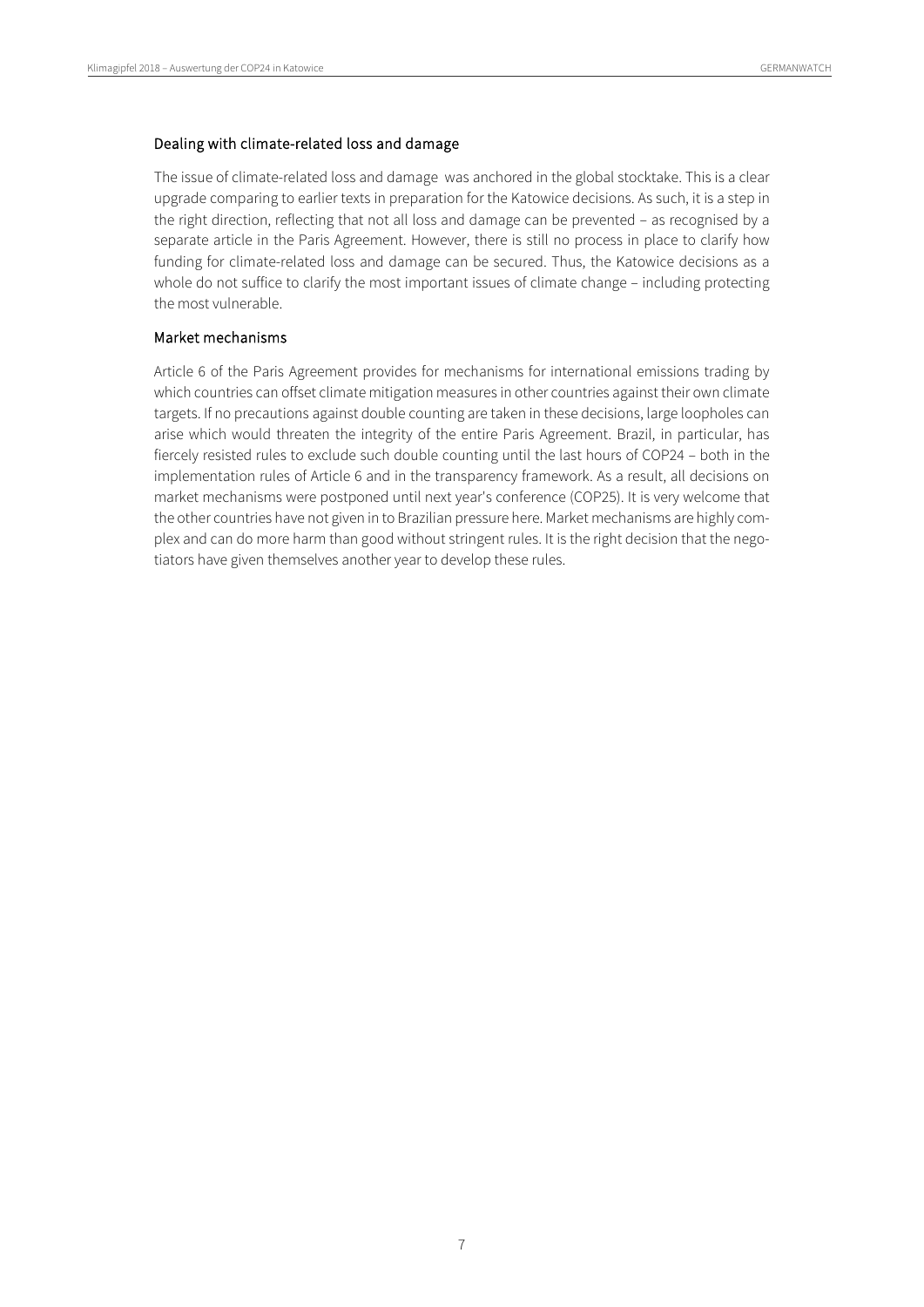#### Dealing with climate-related loss and damage

The issue of climate-related loss and damage was anchored in the global stocktake. This is a clear upgrade comparing to earlier texts in preparation for the Katowice decisions. As such, it is a step in the right direction, reflecting that not all loss and damage can be prevented – as recognised by a separate article in the Paris Agreement. However, there is still no process in place to clarify how funding for climate-related loss and damage can be secured. Thus, the Katowice decisions as a whole do not suffice to clarify the most important issues of climate change – including protecting the most vulnerable.

#### Market mechanisms

Article 6 of the Paris Agreement provides for mechanisms for international emissions trading by which countries can offset climate mitigation measures in other countries against their own climate targets. If no precautions against double counting are taken in these decisions, large loopholes can arise which would threaten the integrity of the entire Paris Agreement. Brazil, in particular, has fiercely resisted rules to exclude such double counting until the last hours of COP24 – both in the implementation rules of Article 6 and in the transparency framework. As a result, all decisions on market mechanisms were postponed until next year's conference (COP25). It is very welcome that the other countries have not given in to Brazilian pressure here. Market mechanisms are highly complex and can do more harm than good without stringent rules. It is the right decision that the negotiators have given themselves another year to develop these rules.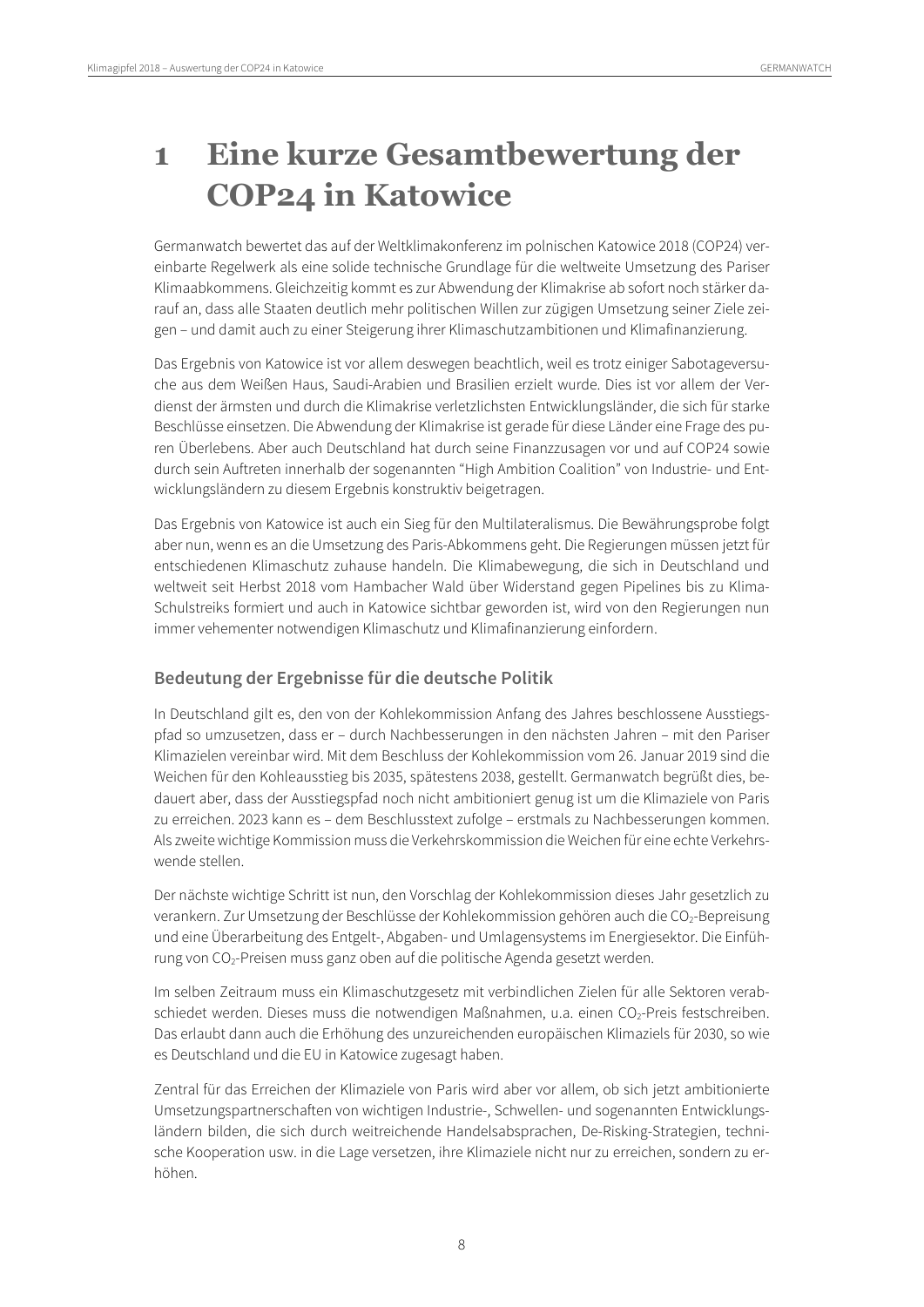# <span id="page-7-0"></span>**1 Eine kurze Gesamtbewertung der COP24 in Katowice**

Germanwatch bewertet das auf der Weltklimakonferenz im polnischen Katowice 2018 (COP24) vereinbarte Regelwerk als eine solide technische Grundlage für die weltweite Umsetzung des Pariser Klimaabkommens. Gleichzeitig kommt es zur Abwendung der Klimakrise ab sofort noch stärker darauf an, dass alle Staaten deutlich mehr politischen Willen zur zügigen Umsetzung seiner Ziele zeigen – und damit auch zu einer Steigerung ihrer Klimaschutzambitionen und Klimafinanzierung.

Das Ergebnis von Katowice ist vor allem deswegen beachtlich, weil es trotz einiger Sabotageversuche aus dem Weißen Haus, Saudi-Arabien und Brasilien erzielt wurde. Dies ist vor allem der Verdienst der ärmsten und durch die Klimakrise verletzlichsten Entwicklungsländer, die sich für starke Beschlüsse einsetzen. Die Abwendung der Klimakrise ist gerade für diese Länder eine Frage des puren Überlebens. Aber auch Deutschland hat durch seine Finanzzusagen vor und auf COP24 sowie durch sein Auftreten innerhalb der sogenannten "High Ambition Coalition" von Industrie- und Entwicklungsländern zu diesem Ergebnis konstruktiv beigetragen.

Das Ergebnis von Katowice ist auch ein Sieg für den Multilateralismus. Die Bewährungsprobe folgt aber nun, wenn es an die Umsetzung des Paris-Abkommens geht. Die Regierungen müssen jetzt für entschiedenen Klimaschutz zuhause handeln. Die Klimabewegung, die sich in Deutschland und weltweit seit Herbst 2018 vom Hambacher Wald über Widerstand gegen Pipelines bis zu Klima-Schulstreiks formiert und auch in Katowice sichtbar geworden ist, wird von den Regierungen nun immer vehementer notwendigen Klimaschutz und Klimafinanzierung einfordern.

### **Bedeutung der Ergebnisse für die deutsche Politik**

In Deutschland gilt es, den von der Kohlekommission Anfang des Jahres beschlossene Ausstiegspfad so umzusetzen, dass er – durch Nachbesserungen in den nächsten Jahren – mit den Pariser Klimazielen vereinbar wird. Mit dem Beschluss der Kohlekommission vom 26. Januar 2019 sind die Weichen für den Kohleausstieg bis 2035, spätestens 2038, gestellt. Germanwatch begrüßt dies, bedauert aber, dass der Ausstiegspfad noch nicht ambitioniert genug ist um die Klimaziele von Paris zu erreichen. 2023 kann es – dem Beschlusstext zufolge – erstmals zu Nachbesserungen kommen. Als zweite wichtige Kommission muss die Verkehrskommission die Weichen für eine echte Verkehrswende stellen.

Der nächste wichtige Schritt ist nun, den Vorschlag der Kohlekommission dieses Jahr gesetzlich zu verankern. Zur Umsetzung der Beschlüsse der Kohlekommission gehören auch die CO<sub>2</sub>-Bepreisung und eine Überarbeitung des Entgelt-, Abgaben- und Umlagensystems im Energiesektor. Die Einführung von CO2-Preisen muss ganz oben auf die politische Agenda gesetzt werden.

Im selben Zeitraum muss ein Klimaschutzgesetz mit verbindlichen Zielen für alle Sektoren verabschiedet werden. Dieses muss die notwendigen Maßnahmen, u.a. einen CO<sub>2</sub>-Preis festschreiben. Das erlaubt dann auch die Erhöhung des unzureichenden europäischen Klimaziels für 2030, so wie es Deutschland und die EU in Katowice zugesagt haben.

Zentral für das Erreichen der Klimaziele von Paris wird aber vor allem, ob sich jetzt ambitionierte Umsetzungspartnerschaften von wichtigen Industrie-, Schwellen- und sogenannten Entwicklungsländern bilden, die sich durch weitreichende Handelsabsprachen, De-Risking-Strategien, technische Kooperation usw. in die Lage versetzen, ihre Klimaziele nicht nur zu erreichen, sondern zu erhöhen.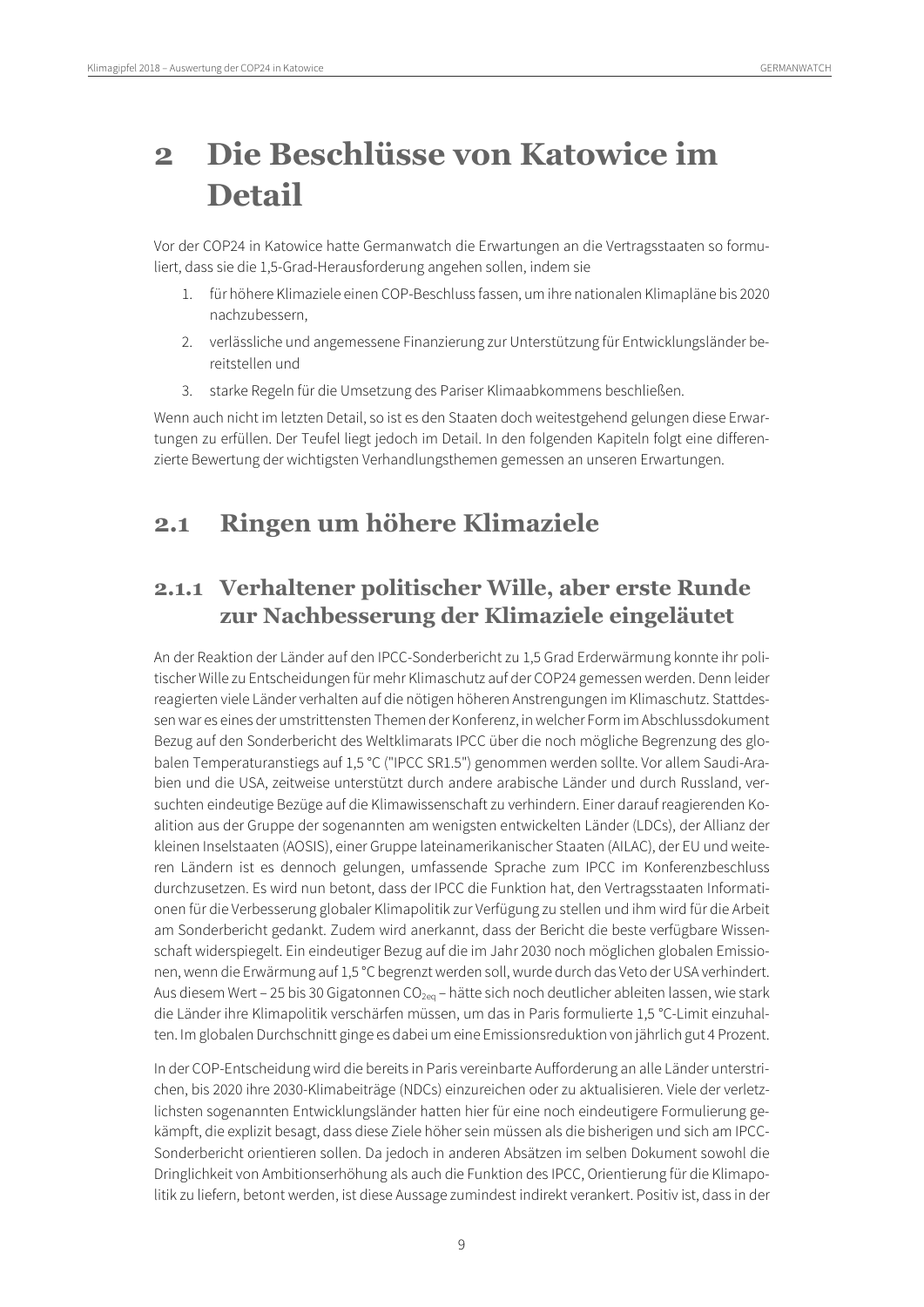# <span id="page-8-0"></span>**2 Die Beschlüsse von Katowice im Detail**

Vor der COP24 in Katowice hatte Germanwatch die Erwartungen an die Vertragsstaaten so formuliert, dass sie die 1,5-Grad-Herausforderung angehen sollen, indem sie

- 1. für höhere Klimaziele einen COP-Beschluss fassen, um ihre nationalen Klimapläne bis 2020 nachzubessern,
- 2. verlässliche und angemessene Finanzierung zur Unterstützung für Entwicklungsländer bereitstellen und
- 3. starke Regeln für die Umsetzung des Pariser Klimaabkommens beschließen.

Wenn auch nicht im letzten Detail, so ist es den Staaten doch weitestgehend gelungen diese Erwartungen zu erfüllen. Der Teufel liegt jedoch im Detail. In den folgenden Kapiteln folgt eine differenzierte Bewertung der wichtigsten Verhandlungsthemen gemessen an unseren Erwartungen.

## <span id="page-8-1"></span>**2.1 Ringen um höhere Klimaziele**

## <span id="page-8-2"></span>**2.1.1 Verhaltener politischer Wille, aber erste Runde zur Nachbesserung der Klimaziele eingeläutet**

An der Reaktion der Länder auf den IPCC-Sonderbericht zu 1,5 Grad Erderwärmung konnte ihr politischer Wille zu Entscheidungen für mehr Klimaschutz auf der COP24 gemessen werden. Denn leider reagierten viele Länder verhalten auf die nötigen höheren Anstrengungen im Klimaschutz. Stattdessen war es eines der umstrittensten Themen der Konferenz, inwelcher Form im Abschlussdokument Bezug auf den Sonderbericht des Weltklimarats IPCC über die noch mögliche Begrenzung des globalen Temperaturanstiegs auf 1,5 °C ("IPCC SR1.5") genommen werden sollte. Vor allem Saudi-Arabien und die USA, zeitweise unterstützt durch andere arabische Länder und durch Russland, versuchten eindeutige Bezüge auf die Klimawissenschaft zu verhindern. Einer darauf reagierenden Koalition aus der Gruppe der sogenannten am wenigsten entwickelten Länder (LDCs), der Allianz der kleinen Inselstaaten (AOSIS), einer Gruppe lateinamerikanischer Staaten (AILAC), der EU und weiteren Ländern ist es dennoch gelungen, umfassende Sprache zum IPCC im Konferenzbeschluss durchzusetzen. Es wird nun betont, dass der IPCC die Funktion hat, den Vertragsstaaten Informationen für die Verbesserung globaler Klimapolitik zur Verfügung zu stellen und ihm wird für die Arbeit am Sonderbericht gedankt. Zudem wird anerkannt, dass der Bericht die beste verfügbare Wissenschaft widerspiegelt. Ein eindeutiger Bezug auf die im Jahr 2030 noch möglichen globalen Emissionen, wenn die Erwärmung auf 1,5 °C begrenzt werden soll, wurde durch das Veto der USA verhindert. Aus diesem Wert – 25 bis 30 Gigatonnen CO<sub>2eq</sub> – hätte sich noch deutlicher ableiten lassen, wie stark die Länder ihre Klimapolitik verschärfen müssen, um das in Paris formulierte 1,5 °C-Limit einzuhalten. Im globalen Durchschnitt ginge es dabei um eine Emissionsreduktion von jährlich gut 4 Prozent.

In der COP-Entscheidung wird die bereits in Paris vereinbarte Aufforderung an alle Länder unterstrichen, bis 2020 ihre 2030-Klimabeiträge (NDCs) einzureichen oder zu aktualisieren. Viele der verletzlichsten sogenannten Entwicklungsländer hatten hier für eine noch eindeutigere Formulierung gekämpft, die explizit besagt, dass diese Ziele höher sein müssen als die bisherigen und sich am IPCC-Sonderbericht orientieren sollen. Da jedoch in anderen Absätzen im selben Dokument sowohl die Dringlichkeit von Ambitionserhöhung als auch die Funktion des IPCC, Orientierung für die Klimapolitik zu liefern, betont werden, ist diese Aussage zumindest indirekt verankert. Positiv ist, dass in der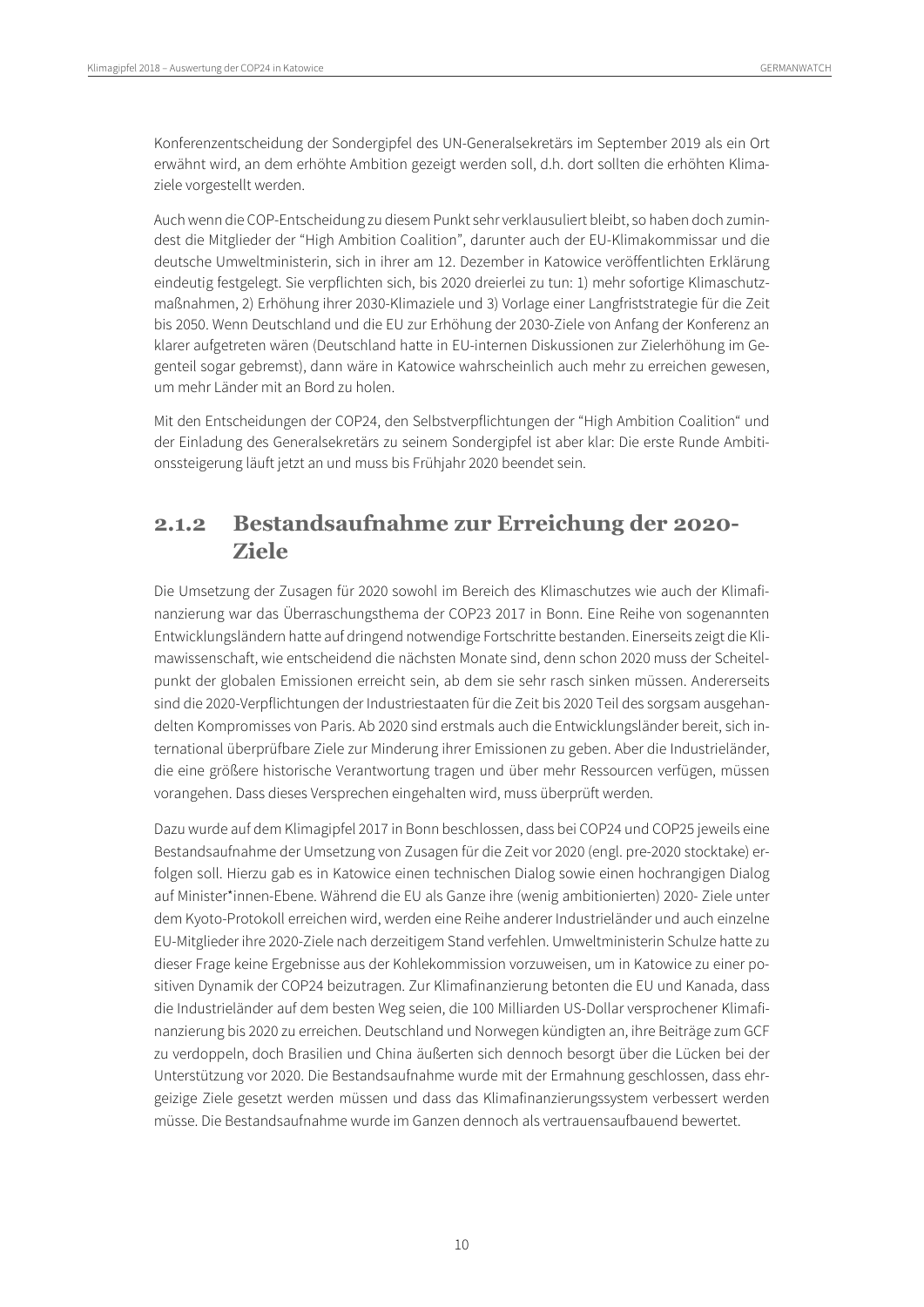Konferenzentscheidung der Sondergipfel des UN-Generalsekretärs im September 2019 als ein Ort erwähnt wird, an dem erhöhte Ambition gezeigt werden soll, d.h. dort sollten die erhöhten Klimaziele vorgestellt werden.

Auch wenn die COP-Entscheidung zu diesem Punkt sehr verklausuliert bleibt, so haben doch zumindest die Mitglieder der "High Ambition Coalition", darunter auch der EU-Klimakommissar und die deutsche Umweltministerin, sich in ihrer am 12. Dezember in Katowice veröffentlichten Erklärung eindeutig festgelegt. Sie verpflichten sich, bis 2020 dreierlei zu tun: 1) mehr sofortige Klimaschutzmaßnahmen, 2) Erhöhung ihrer 2030-Klimaziele und 3) Vorlage einer Langfriststrategie für die Zeit bis 2050. Wenn Deutschland und die EU zur Erhöhung der 2030-Ziele von Anfang der Konferenz an klarer aufgetreten wären (Deutschland hatte in EU-internen Diskussionen zur Zielerhöhung im Gegenteil sogar gebremst), dann wäre in Katowice wahrscheinlich auch mehr zu erreichen gewesen, um mehr Länder mit an Bord zu holen.

Mit den Entscheidungen der COP24, den Selbstverpflichtungen der "High Ambition Coalition" und der Einladung des Generalsekretärs zu seinem Sondergipfel ist aber klar: Die erste Runde Ambitionssteigerung läuft jetzt an und muss bis Frühjahr 2020 beendet sein.

## <span id="page-9-0"></span>**2.1.2 Bestandsaufnahme zur Erreichung der 2020- Ziele**

Die Umsetzung der Zusagen für 2020 sowohl im Bereich des Klimaschutzes wie auch der Klimafinanzierung war das Überraschungsthema der COP23 2017 in Bonn. Eine Reihe von sogenannten Entwicklungsländern hatte auf dringend notwendige Fortschritte bestanden. Einerseits zeigt die Klimawissenschaft, wie entscheidend die nächsten Monate sind, denn schon 2020 muss der Scheitelpunkt der globalen Emissionen erreicht sein, ab dem sie sehr rasch sinken müssen. Andererseits sind die 2020-Verpflichtungen der Industriestaaten für die Zeit bis 2020 Teil des sorgsam ausgehandelten Kompromisses von Paris. Ab 2020 sind erstmals auch die Entwicklungsländer bereit, sich international überprüfbare Ziele zur Minderung ihrer Emissionen zu geben. Aber die Industrieländer, die eine größere historische Verantwortung tragen und über mehr Ressourcen verfügen, müssen vorangehen. Dass dieses Versprechen eingehalten wird, muss überprüft werden.

Dazu wurde auf dem Klimagipfel 2017 in Bonn beschlossen, dass bei COP24 und COP25 jeweils eine Bestandsaufnahme der Umsetzung von Zusagen für die Zeit vor 2020 (engl. pre-2020 stocktake) erfolgen soll. Hierzu gab es in Katowice einen technischen Dialog sowie einen hochrangigen Dialog auf Minister\*innen-Ebene. Während die EU als Ganze ihre (wenig ambitionierten) 2020- Ziele unter dem Kyoto-Protokoll erreichen wird, werden eine Reihe anderer Industrieländer und auch einzelne EU-Mitglieder ihre 2020-Ziele nach derzeitigem Stand verfehlen. Umweltministerin Schulze hatte zu dieser Frage keine Ergebnisse aus der Kohlekommission vorzuweisen, um in Katowice zu einer positiven Dynamik der COP24 beizutragen. Zur Klimafinanzierung betonten die EU und Kanada, dass die Industrieländer auf dem besten Weg seien, die 100 Milliarden US-Dollar versprochener Klimafinanzierung bis 2020 zu erreichen. Deutschland und Norwegen kündigten an, ihre Beiträge zum GCF zu verdoppeln, doch Brasilien und China äußerten sich dennoch besorgt über die Lücken bei der Unterstützung vor 2020. Die Bestandsaufnahme wurde mit der Ermahnung geschlossen, dass ehrgeizige Ziele gesetzt werden müssen und dass das Klimafinanzierungssystem verbessert werden müsse. Die Bestandsaufnahme wurde im Ganzen dennoch als vertrauensaufbauend bewertet.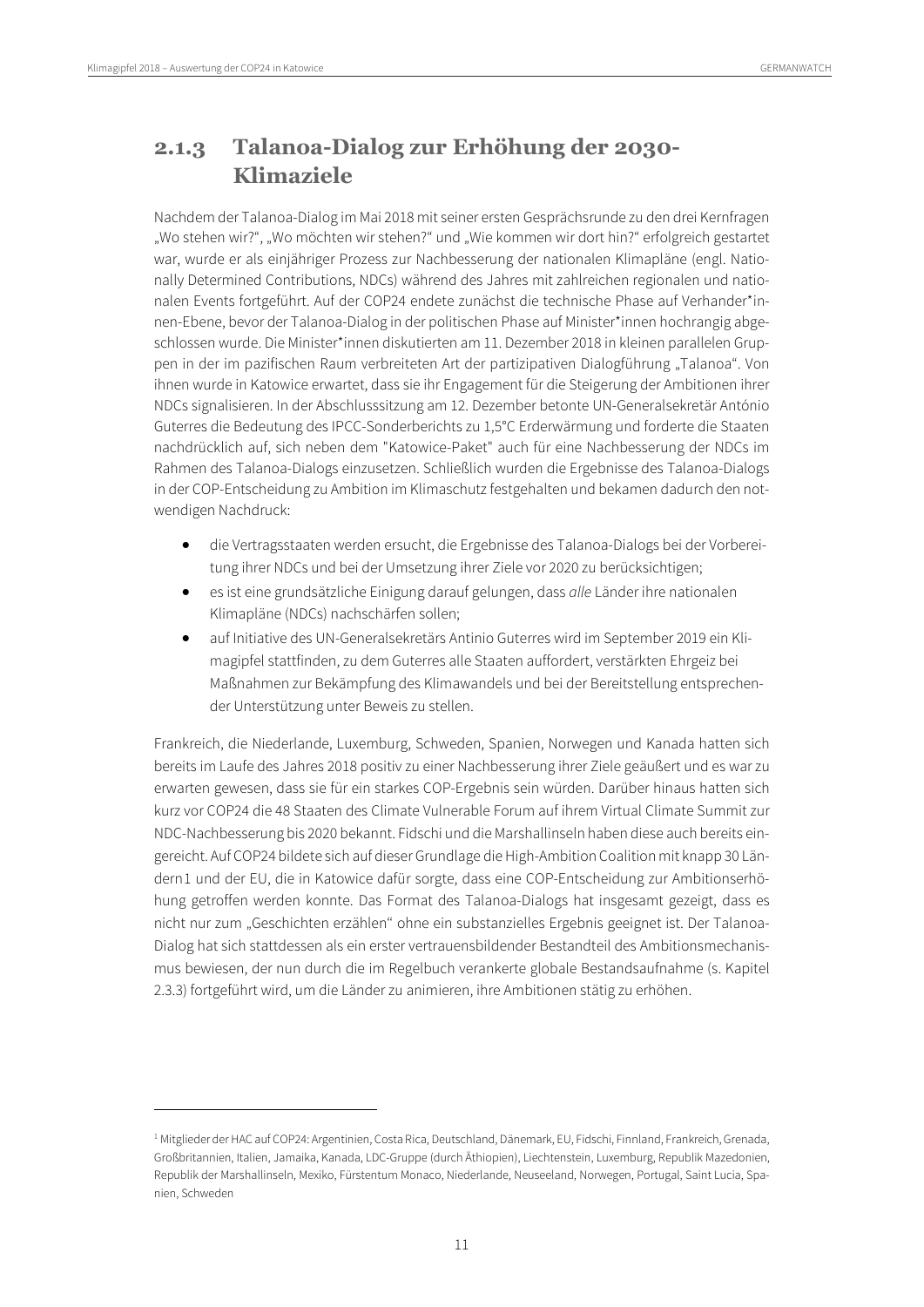$\overline{a}$ 

## <span id="page-10-0"></span>**2.1.3 Talanoa-Dialog zur Erhöhung der 2030- Klimaziele**

Nachdem der Talanoa-Dialog im Mai 2018 mit seiner ersten Gesprächsrunde zu den drei Kernfragen "Wo stehen wir?", "Wo möchten wir stehen?" und "Wie kommen wir dort hin?" erfolgreich gestartet war, wurde er als einjähriger Prozess zur Nachbesserung der nationalen Klimapläne (engl. Nationally Determined Contributions, NDCs) während des Jahres mit zahlreichen regionalen und nationalen Events fortgeführt. Auf der COP24 endete zunächst die technische Phase auf Verhander\*innen-Ebene, bevor der Talanoa-Dialog in der politischen Phase auf Minister\*innen hochrangig abgeschlossen wurde. Die Minister\*innen diskutierten am 11. Dezember 2018 in kleinen parallelen Gruppen in der im pazifischen Raum verbreiteten Art der partizipativen Dialogführung "Talanoa". Von ihnen wurde in Katowice erwartet, dass sie ihr Engagement für die Steigerung der Ambitionen ihrer NDCs signalisieren. In der Abschlusssitzung am 12. Dezember betonte UN-Generalsekretär António Guterres die Bedeutung des IPCC-Sonderberichts zu 1,5°C Erderwärmung und forderte die Staaten nachdrücklich auf, sich neben dem "Katowice-Paket" auch für eine Nachbesserung der NDCs im Rahmen des Talanoa-Dialogs einzusetzen. Schließlich wurden die Ergebnisse des Talanoa-Dialogs in der COP-Entscheidung zu Ambition im Klimaschutz festgehalten und bekamen dadurch den notwendigen Nachdruck:

- die Vertragsstaaten werden ersucht, die Ergebnisse des Talanoa-Dialogs bei der Vorbereitung ihrer NDCs und bei der Umsetzung ihrer Ziele vor 2020 zu berücksichtigen;
- es ist eine grundsätzliche Einigung darauf gelungen, dass *alle* Länder ihre nationalen Klimapläne (NDCs) nachschärfen sollen;
- auf Initiative des UN-Generalsekretärs Antinio Guterres wird im September 2019 ein Klimagipfel stattfinden, zu dem Guterres alle Staaten auffordert, verstärkten Ehrgeiz bei Maßnahmen zur Bekämpfung des Klimawandels und bei der Bereitstellung entsprechender Unterstützung unter Beweis zu stellen.

Frankreich, die Niederlande, Luxemburg, Schweden, Spanien, Norwegen und Kanada hatten sich bereits im Laufe des Jahres 2018 positiv zu einer Nachbesserung ihrer Ziele geäußert und es war zu erwarten gewesen, dass sie für ein starkes COP-Ergebnis sein würden. Darüber hinaus hatten sich kurz vor COP24 die 48 Staaten des Climate Vulnerable Forum auf ihrem Virtual Climate Summit zur NDC-Nachbesserung bis 2020 bekannt. Fidschi und die Marshallinseln haben diese auch bereits eingereicht. Auf COP24 bildete sich auf dieser Grundlage die High-Ambition Coalition mit knapp 30 Ländern[1](#page-10-1) und der EU, die in Katowice dafür sorgte, dass eine COP-Entscheidung zur Ambitionserhöhung getroffen werden konnte. Das Format des Talanoa-Dialogs hat insgesamt gezeigt, dass es nicht nur zum "Geschichten erzählen'' ohne ein substanzielles Ergebnis geeignet ist. Der Talanoa-Dialog hat sich stattdessen als ein erster vertrauensbildender Bestandteil des Ambitionsmechanismus bewiesen, der nun durch die im Regelbuch verankerte globale Bestandsaufnahme (s. Kapitel 2.3.3) fortgeführt wird, um die Länder zu animieren, ihre Ambitionen stätig zu erhöhen.

<span id="page-10-1"></span><sup>&</sup>lt;sup>1</sup> Mitglieder der HAC auf COP24: Argentinien, Costa Rica, Deutschland, Dänemark, EU, Fidschi, Finnland, Frankreich, Grenada, Großbritannien, Italien, Jamaika, Kanada, LDC-Gruppe (durch Äthiopien), Liechtenstein, Luxemburg, Republik Mazedonien, Republik der Marshallinseln, Mexiko, Fürstentum Monaco, Niederlande, Neuseeland, Norwegen, Portugal, Saint Lucia, Spanien, Schweden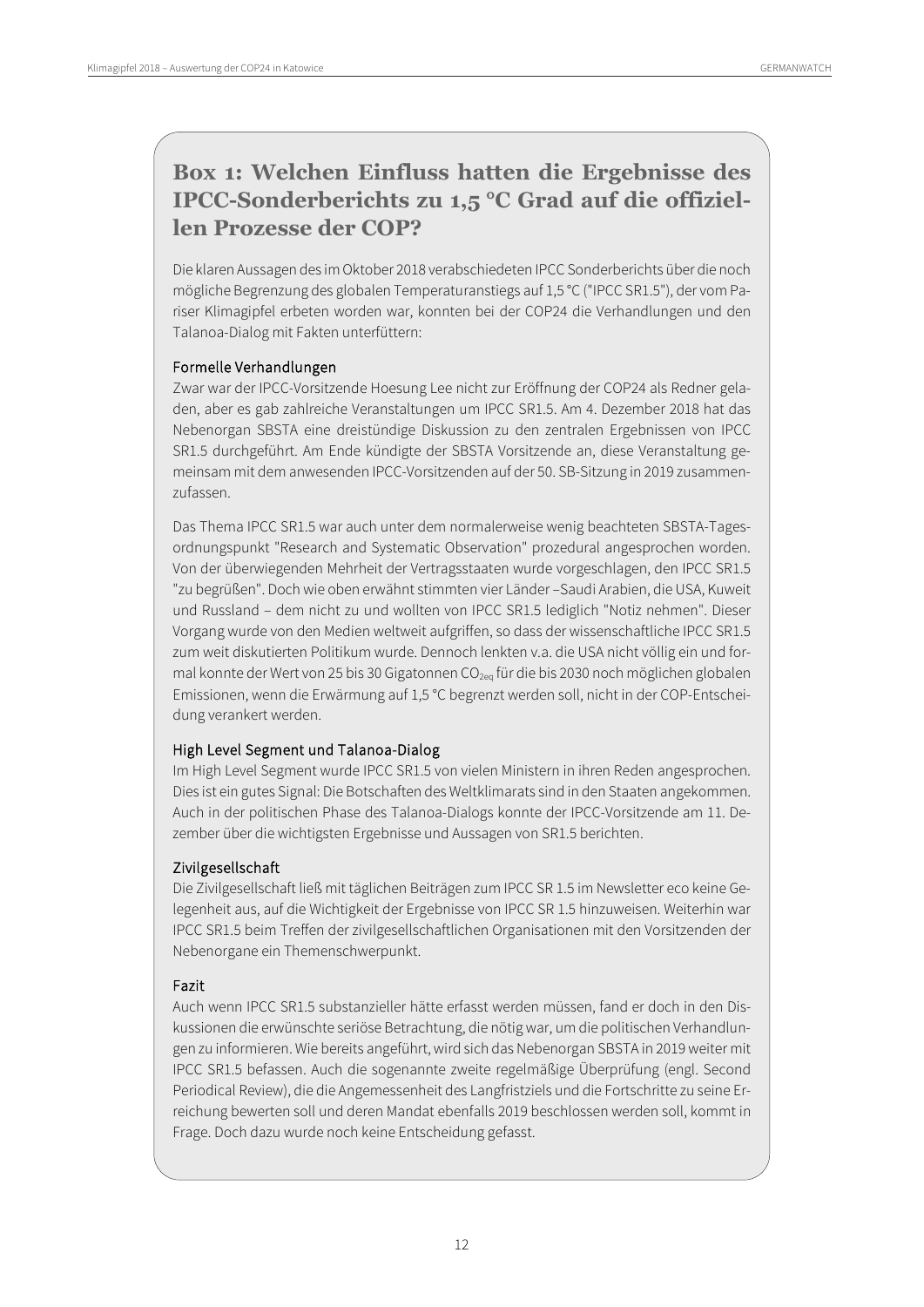## **Box 1: Welchen Einfluss hatten die Ergebnisse des IPCC-Sonderberichts zu 1,5 °C Grad auf die offiziellen Prozesse der COP?**

Die klaren Aussagen des im Oktober 2018 verabschiedeten IPCC Sonderberichts über die noch mögliche Begrenzung des globalen Temperaturanstiegs auf 1,5 °C ("IPCC SR1.5"), der vom Pariser Klimagipfel erbeten worden war, konnten bei der COP24 die Verhandlungen und den Talanoa-Dialog mit Fakten unterfüttern:

#### Formelle Verhandlungen

Zwar war der IPCC-Vorsitzende Hoesung Lee nicht zur Eröffnung der COP24 als Redner geladen, aber es gab zahlreiche Veranstaltungen um IPCC SR1.5. Am 4. Dezember 2018 hat das Nebenorgan SBSTA eine dreistündige Diskussion zu den zentralen Ergebnissen von IPCC SR1.5 durchgeführt. Am Ende kündigte der SBSTA Vorsitzende an, diese Veranstaltung gemeinsam mit dem anwesenden IPCC-Vorsitzenden auf der 50. SB-Sitzung in 2019 zusammenzufassen.

Das Thema IPCC SR1.5 war auch unter dem normalerweise wenig beachteten SBSTA-Tagesordnungspunkt "Research and Systematic Observation" prozedural angesprochen worden. Von der überwiegenden Mehrheit der Vertragsstaaten wurde vorgeschlagen, den IPCC SR1.5 "zu begrüßen". Doch wie oben erwähnt stimmten vier Länder –Saudi Arabien, die USA, Kuweit und Russland – dem nicht zu und wollten von IPCC SR1.5 lediglich "Notiz nehmen". Dieser Vorgang wurde von den Medien weltweit aufgriffen, so dass der wissenschaftliche IPCC SR1.5 zum weit diskutierten Politikum wurde. Dennoch lenkten v.a. die USA nicht völlig ein und formal konnte der Wert von 25 bis 30 Gigatonnen CO<sub>2eg</sub> für die bis 2030 noch möglichen globalen Emissionen, wenn die Erwärmung auf 1,5 °C begrenzt werden soll, nicht in der COP-Entscheidung verankert werden.

#### High Level Segment und Talanoa-Dialog

Im High Level Segment wurde IPCC SR1.5 von vielen Ministern in ihren Reden angesprochen. Dies ist ein gutes Signal: Die Botschaften des Weltklimarats sind in den Staaten angekommen. Auch in der politischen Phase des Talanoa-Dialogs konnte der IPCC-Vorsitzende am 11. Dezember über die wichtigsten Ergebnisse und Aussagen von SR1.5 berichten.

#### Zivilgesellschaft

Die Zivilgesellschaft ließ mit täglichen Beiträgen zum IPCC SR 1.5 im Newsletter eco keine Gelegenheit aus, auf die Wichtigkeit der Ergebnisse von IPCC SR 1.5 hinzuweisen. Weiterhin war IPCC SR1.5 beim Treffen der zivilgesellschaftlichen Organisationen mit den Vorsitzenden der Nebenorgane ein Themenschwerpunkt.

#### Fazit

Auch wenn IPCC SR1.5 substanzieller hätte erfasst werden müssen, fand er doch in den Diskussionen die erwünschte seriöse Betrachtung, die nötig war, um die politischen Verhandlungen zu informieren. Wie bereits angeführt, wird sich das Nebenorgan SBSTA in 2019weiter mit IPCC SR1.5 befassen. Auch die sogenannte zweite regelmäßige Überprüfung (engl. Second Periodical Review), die die Angemessenheit des Langfristziels und die Fortschritte zu seine Erreichung bewerten soll und deren Mandat ebenfalls 2019 beschlossen werden soll, kommt in Frage. Doch dazu wurde noch keine Entscheidung gefasst.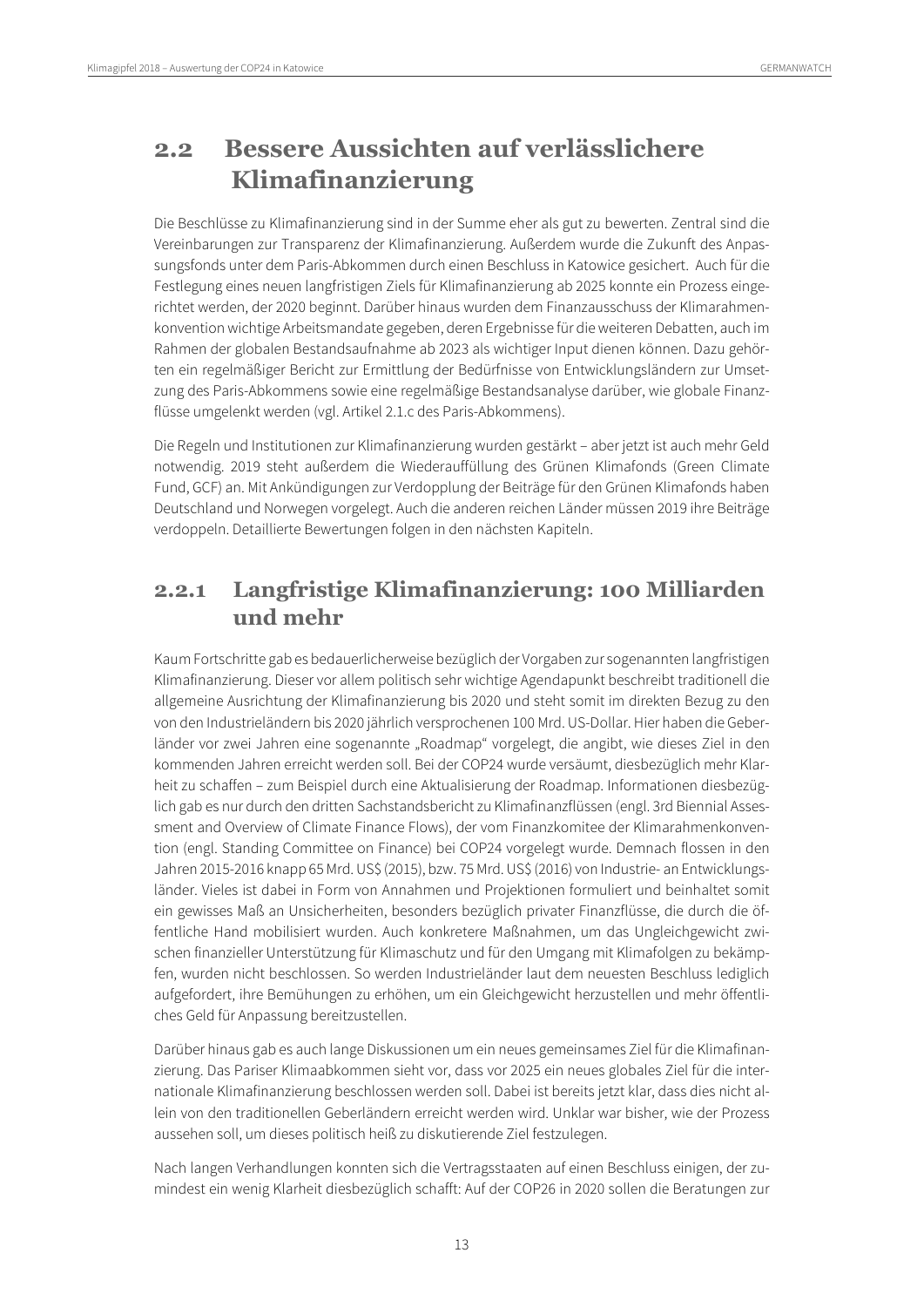## <span id="page-12-0"></span>**2.2 Bessere Aussichten auf verlässlichere Klimafinanzierung**

Die Beschlüsse zu Klimafinanzierung sind in der Summe eher als gut zu bewerten. Zentral sind die Vereinbarungen zur Transparenz der Klimafinanzierung. Außerdem wurde die Zukunft des Anpassungsfonds unter dem Paris-Abkommen durch einen Beschluss in Katowice gesichert. Auch für die Festlegung eines neuen langfristigen Ziels für Klimafinanzierung ab 2025 konnte ein Prozess eingerichtet werden, der 2020 beginnt. Darüber hinaus wurden dem Finanzausschuss der Klimarahmenkonvention wichtige Arbeitsmandate gegeben, deren Ergebnisse für die weiteren Debatten, auch im Rahmen der globalen Bestandsaufnahme ab 2023 als wichtiger Input dienen können. Dazu gehörten ein regelmäßiger Bericht zur Ermittlung der Bedürfnisse von Entwicklungsländern zur Umsetzung des Paris-Abkommens sowie eine regelmäßige Bestandsanalyse darüber, wie globale Finanzflüsse umgelenkt werden (vgl. Artikel 2.1.c des Paris-Abkommens).

Die Regeln und Institutionen zur Klimafinanzierung wurden gestärkt – aber jetzt ist auch mehr Geld notwendig. 2019 steht außerdem die Wiederauffüllung des Grünen Klimafonds (Green Climate Fund, GCF) an. Mit Ankündigungen zur Verdopplung der Beiträge für den Grünen Klimafonds haben Deutschland und Norwegen vorgelegt. Auch die anderen reichen Länder müssen 2019 ihre Beiträge verdoppeln. Detaillierte Bewertungen folgen in den nächsten Kapiteln.

## <span id="page-12-1"></span>**2.2.1 Langfristige Klimafinanzierung: 100 Milliarden und mehr**

Kaum Fortschritte gab es bedauerlicherweise bezüglich der Vorgaben zur sogenannten langfristigen Klimafinanzierung. Dieser vor allem politisch sehr wichtige Agendapunkt beschreibt traditionell die allgemeine Ausrichtung der Klimafinanzierung bis 2020 und steht somit im direkten Bezug zu den von den Industrieländern bis 2020 jährlich versprochenen 100 Mrd. US-Dollar. Hier haben die Geberländer vor zwei Jahren eine sogenannte "Roadmap" vorgelegt, die angibt, wie dieses Ziel in den kommenden Jahren erreicht werden soll. Bei der COP24 wurde versäumt, diesbezüglich mehr Klarheit zu schaffen – zum Beispiel durch eine Aktualisierung der Roadmap. Informationen diesbezüglich gab es nur durch den dritten Sachstandsbericht zu Klimafinanzflüssen (engl. 3rd Biennial Assessment and Overview of Climate Finance Flows), der vom Finanzkomitee der Klimarahmenkonvention (engl. Standing Committee on Finance) bei COP24 vorgelegt wurde. Demnach flossen in den Jahren 2015-2016 knapp 65 Mrd.US\$ (2015), bzw. 75 Mrd. US\$ (2016) von Industrie- an Entwicklungsländer. Vieles ist dabei in Form von Annahmen und Projektionen formuliert und beinhaltet somit ein gewisses Maß an Unsicherheiten, besonders bezüglich privater Finanzflüsse, die durch die öffentliche Hand mobilisiert wurden. Auch konkretere Maßnahmen, um das Ungleichgewicht zwischen finanzieller Unterstützung für Klimaschutz und für den Umgang mit Klimafolgen zu bekämpfen, wurden nicht beschlossen. So werden Industrieländer laut dem neuesten Beschluss lediglich aufgefordert, ihre Bemühungen zu erhöhen, um ein Gleichgewicht herzustellen und mehr öffentliches Geld für Anpassung bereitzustellen.

Darüber hinaus gab es auch lange Diskussionen um ein neues gemeinsames Ziel für die Klimafinanzierung. Das Pariser Klimaabkommen sieht vor, dass vor 2025 ein neues globales Ziel für die internationale Klimafinanzierung beschlossen werden soll. Dabei ist bereits jetzt klar, dass dies nicht allein von den traditionellen Geberländern erreicht werden wird. Unklar war bisher, wie der Prozess aussehen soll, um dieses politisch heiß zu diskutierende Ziel festzulegen.

Nach langen Verhandlungen konnten sich die Vertragsstaaten auf einen Beschluss einigen, der zumindest ein wenig Klarheit diesbezüglich schafft: Auf der COP26 in 2020 sollen die Beratungen zur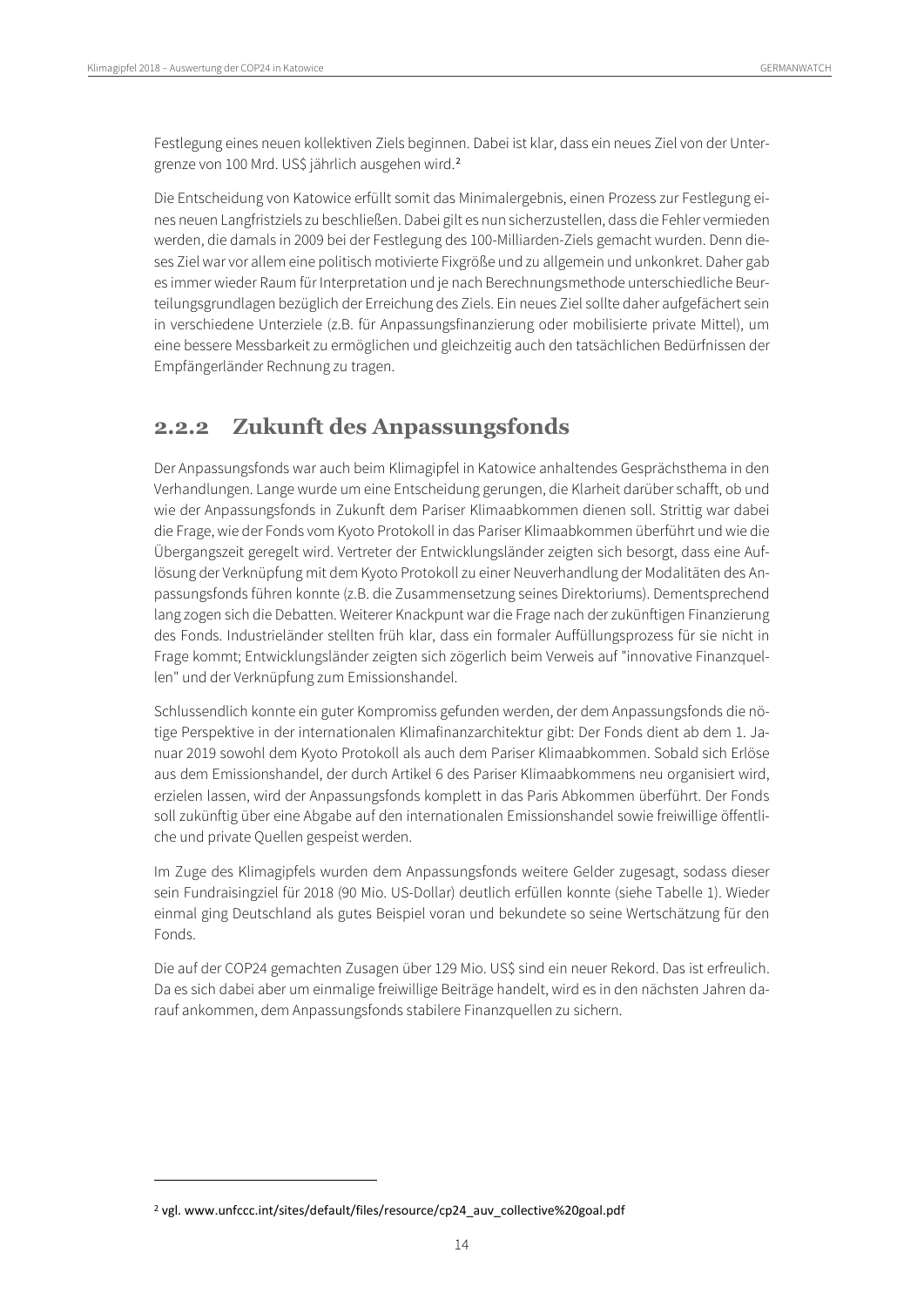Festlegung eines neuen kollektiven Ziels beginnen. Dabei ist klar, dass ein neues Ziel von der Untergrenze von 100 Mrd. US\$ jährlich ausgehen wird.[2](#page-13-1)

Die Entscheidung von Katowice erfüllt somit das Minimalergebnis, einen Prozess zur Festlegung eines neuen Langfristziels zu beschließen. Dabei gilt es nun sicherzustellen, dass die Fehler vermieden werden, die damals in 2009 bei der Festlegung des 100-Milliarden-Ziels gemacht wurden. Denn dieses Ziel war vor allem eine politisch motivierte Fixgröße und zu allgemein und unkonkret. Daher gab es immer wieder Raum für Interpretation und je nach Berechnungsmethode unterschiedliche Beurteilungsgrundlagen bezüglich der Erreichung des Ziels. Ein neues Ziel sollte daher aufgefächert sein in verschiedene Unterziele (z.B. für Anpassungsfinanzierung oder mobilisierte private Mittel), um eine bessere Messbarkeit zu ermöglichen und gleichzeitig auch den tatsächlichen Bedürfnissen der Empfängerländer Rechnung zu tragen.

### <span id="page-13-0"></span>**2.2.2 Zukunft des Anpassungsfonds**

Der Anpassungsfonds war auch beim Klimagipfel in Katowice anhaltendes Gesprächsthema in den Verhandlungen. Lange wurde um eine Entscheidung gerungen, die Klarheit darüber schafft, ob und wie der Anpassungsfonds in Zukunft dem Pariser Klimaabkommen dienen soll. Strittig war dabei die Frage, wie der Fonds vom Kyoto Protokoll in das Pariser Klimaabkommen überführt und wie die Übergangszeit geregelt wird. Vertreter der Entwicklungsländer zeigten sich besorgt, dass eine Auflösung der Verknüpfung mit dem Kyoto Protokoll zu einer Neuverhandlung der Modalitäten des Anpassungsfonds führen konnte (z.B. die Zusammensetzung seines Direktoriums). Dementsprechend lang zogen sich die Debatten. Weiterer Knackpunt war die Frage nach der zukünftigen Finanzierung des Fonds. Industrieländer stellten früh klar, dass ein formaler Auffüllungsprozess für sie nicht in Frage kommt; Entwicklungsländer zeigten sich zögerlich beim Verweis auf "innovative Finanzquellen" und der Verknüpfung zum Emissionshandel.

Schlussendlich konnte ein guter Kompromiss gefunden werden, der dem Anpassungsfonds die nötige Perspektive in der internationalen Klimafinanzarchitektur gibt: Der Fonds dient ab dem 1. Januar 2019 sowohl dem Kyoto Protokoll als auch dem Pariser Klimaabkommen. Sobald sich Erlöse aus dem Emissionshandel, der durch Artikel 6 des Pariser Klimaabkommens neu organisiert wird, erzielen lassen, wird der Anpassungsfonds komplett in das Paris Abkommen überführt. Der Fonds soll zukünftig über eine Abgabe auf den internationalen Emissionshandel sowie freiwillige öffentliche und private Quellen gespeist werden.

Im Zuge des Klimagipfels wurden dem Anpassungsfonds weitere Gelder zugesagt, sodass dieser sein Fundraisingziel für 2018 (90 Mio. US-Dollar) deutlich erfüllen konnte (siehe Tabelle 1). Wieder einmal ging Deutschland als gutes Beispiel voran und bekundete so seine Wertschätzung für den Fonds.

Die auf der COP24 gemachten Zusagen über 129 Mio. US\$ sind ein neuer Rekord. Das ist erfreulich. Da es sich dabei aber um einmalige freiwillige Beiträge handelt, wird es in den nächsten Jahren darauf ankommen, dem Anpassungsfonds stabilere Finanzquellen zu sichern.

<span id="page-13-1"></span><sup>&</sup>lt;sup>2</sup> vgl. www.unfccc.int/sites/default/files/resource/cp24\_auv\_collective%20goal.pdf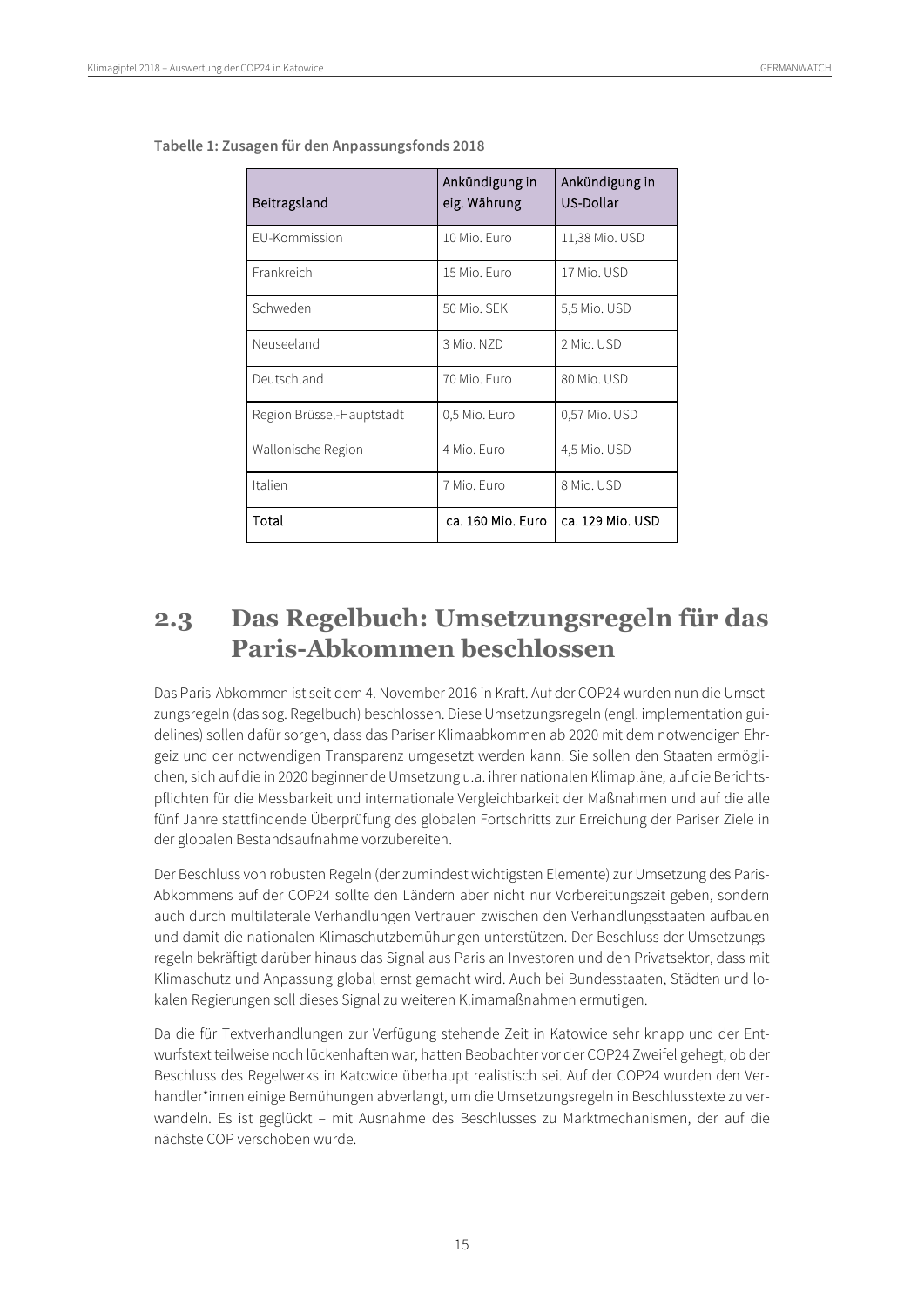| Beitragsland              | Ankündigung in<br>eig. Währung | Ankündigung in<br>US-Dollar |
|---------------------------|--------------------------------|-----------------------------|
| <b>EU-Kommission</b>      | 10 Mio. Furo                   | 11,38 Mio. USD              |
| Frankreich                | 15 Mio. Euro                   | 17 Mio. USD                 |
| Schweden                  | 50 Mio. SFK                    | 5,5 Mio. USD                |
| Neuseeland                | 3 Mio. N7D                     | 2 Mio. USD                  |
| Deutschland               | 70 Mio. Furo                   | 80 Mio. USD                 |
| Region Brüssel-Hauptstadt | 0,5 Mio. Euro                  | 0,57 Mio. USD               |
| Wallonische Region        | 4 Mio. Euro                    | 4,5 Mio. USD                |
| Italien                   | 7 Mio. Euro                    | 8 Mio. USD                  |
| Total                     | ca. 160 Mio. Euro              | ca. 129 Mio. USD            |

**Tabelle 1: Zusagen für den Anpassungsfonds 2018**

## <span id="page-14-0"></span>**2.3 Das Regelbuch: Umsetzungsregeln für das Paris-Abkommen beschlossen**

Das Paris-Abkommen ist seit dem 4. November 2016 in Kraft. Auf der COP24 wurden nun die Umsetzungsregeln (das sog. Regelbuch) beschlossen. Diese Umsetzungsregeln (engl. implementation guidelines) sollen dafür sorgen, dass das Pariser Klimaabkommen ab 2020 mit dem notwendigen Ehrgeiz und der notwendigen Transparenz umgesetzt werden kann. Sie sollen den Staaten ermöglichen, sich auf die in 2020 beginnende Umsetzung u.a. ihrer nationalen Klimapläne, auf die Berichtspflichten für die Messbarkeit und internationale Vergleichbarkeit der Maßnahmen und auf die alle fünf Jahre stattfindende Überprüfung des globalen Fortschritts zur Erreichung der Pariser Ziele in der globalen Bestandsaufnahme vorzubereiten.

Der Beschluss von robusten Regeln (der zumindest wichtigsten Elemente) zur Umsetzung des Paris-Abkommens auf der COP24 sollte den Ländern aber nicht nur Vorbereitungszeit geben, sondern auch durch multilaterale Verhandlungen Vertrauen zwischen den Verhandlungsstaaten aufbauen und damit die nationalen Klimaschutzbemühungen unterstützen. Der Beschluss der Umsetzungsregeln bekräftigt darüber hinaus das Signal aus Paris an Investoren und den Privatsektor, dass mit Klimaschutz und Anpassung global ernst gemacht wird. Auch bei Bundesstaaten, Städten und lokalen Regierungen soll dieses Signal zu weiteren Klimamaßnahmen ermutigen.

Da die für Textverhandlungen zur Verfügung stehende Zeit in Katowice sehr knapp und der Entwurfstext teilweise noch lückenhaften war, hatten Beobachter vor der COP24 Zweifel gehegt, ob der Beschluss des Regelwerks in Katowice überhaupt realistisch sei. Auf der COP24 wurden den Verhandler\*innen einige Bemühungen abverlangt, um die Umsetzungsregeln in Beschlusstexte zu verwandeln. Es ist geglückt – mit Ausnahme des Beschlusses zu Marktmechanismen, der auf die nächste COP verschoben wurde.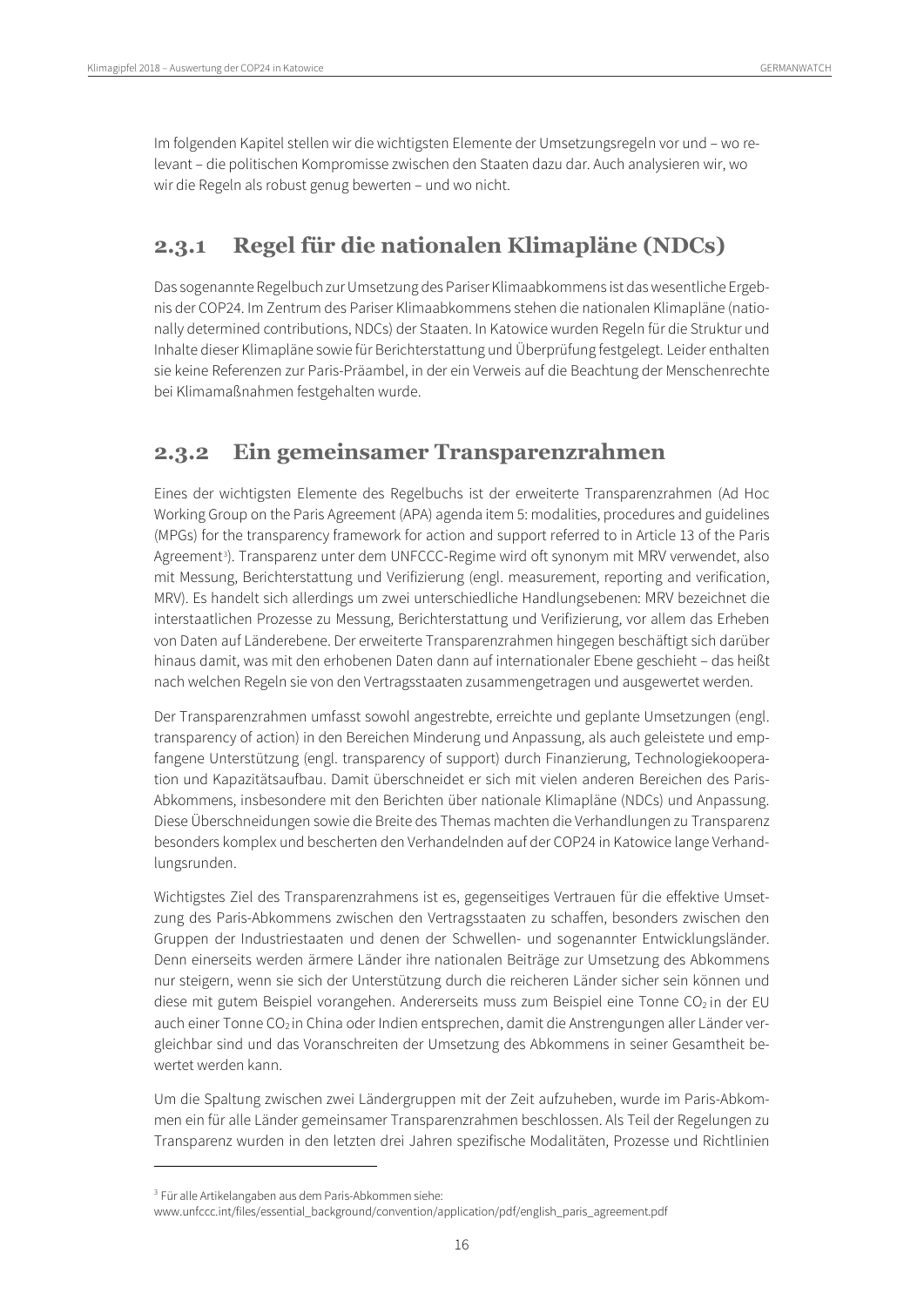Im folgenden Kapitel stellen wir die wichtigsten Elemente der Umsetzungsregeln vor und – wo relevant – die politischen Kompromisse zwischen den Staaten dazu dar. Auch analysieren wir, wo wir die Regeln als robust genug bewerten – und wo nicht.

## <span id="page-15-0"></span>**2.3.1 Regel für die nationalen Klimapläne (NDCs)**

Das sogenannte Regelbuch zur Umsetzung des Pariser Klimaabkommens ist das wesentliche Ergebnis der COP24. Im Zentrum des Pariser Klimaabkommens stehen die nationalen Klimapläne (nationally determined contributions, NDCs) der Staaten. In Katowice wurden Regeln für die Struktur und Inhalte dieser Klimapläne sowie für Berichterstattung und Überprüfung festgelegt. Leider enthalten sie keine Referenzen zur Paris-Präambel, in der ein Verweis auf die Beachtung der Menschenrechte bei Klimamaßnahmen festgehalten wurde.

## <span id="page-15-1"></span>**2.3.2 Ein gemeinsamer Transparenzrahmen**

Eines der wichtigsten Elemente des Regelbuchs ist der erweiterte Transparenzrahmen (Ad Hoc Working Group on the Paris Agreement (APA) agenda item 5: modalities, procedures and guidelines (MPGs) for the transparency framework for action and support referred to in Article 13 of the Paris Agreement<sup>[3](#page-15-2)</sup>). Transparenz unter dem UNFCCC-Regime wird oft synonym mit MRV verwendet, also mit Messung, Berichterstattung und Verifizierung (engl. measurement, reporting and verification, MRV). Es handelt sich allerdings um zwei unterschiedliche Handlungsebenen: MRV bezeichnet die interstaatlichen Prozesse zu Messung, Berichterstattung und Verifizierung, vor allem das Erheben von Daten auf Länderebene. Der erweiterte Transparenzrahmen hingegen beschäftigt sich darüber hinaus damit, was mit den erhobenen Daten dann auf internationaler Ebene geschieht – das heißt nach welchen Regeln sie von den Vertragsstaaten zusammengetragen und ausgewertet werden.

Der Transparenzrahmen umfasst sowohl angestrebte, erreichte und geplante Umsetzungen (engl. transparency of action) in den Bereichen Minderung und Anpassung, als auch geleistete und empfangene Unterstützung (engl. transparency of support) durch Finanzierung, Technologiekooperation und Kapazitätsaufbau. Damit überschneidet er sich mit vielen anderen Bereichen des Paris-Abkommens, insbesondere mit den Berichten über nationale Klimapläne (NDCs) und Anpassung. Diese Überschneidungen sowie die Breite des Themas machten die Verhandlungen zu Transparenz besonders komplex und bescherten den Verhandelnden auf der COP24 in Katowice lange Verhandlungsrunden.

Wichtigstes Ziel des Transparenzrahmens ist es, gegenseitiges Vertrauen für die effektive Umsetzung des Paris-Abkommens zwischen den Vertragsstaaten zu schaffen, besonders zwischen den Gruppen der Industriestaaten und denen der Schwellen- und sogenannter Entwicklungsländer. Denn einerseits werden ärmere Länder ihre nationalen Beiträge zur Umsetzung des Abkommens nur steigern, wenn sie sich der Unterstützung durch die reicheren Länder sicher sein können und diese mit gutem Beispiel vorangehen. Andererseits muss zum Beispiel eine Tonne CO<sub>2</sub> in der EU auch einer Tonne CO<sub>2</sub> in China oder Indien entsprechen, damit die Anstrengungen aller Länder vergleichbar sind und das Voranschreiten der Umsetzung des Abkommens in seiner Gesamtheit bewertet werden kann.

Um die Spaltung zwischen zwei Ländergruppen mit der Zeit aufzuheben, wurde im Paris-Abkommen ein für alle Länder gemeinsamer Transparenzrahmen beschlossen. Als Teil der Regelungen zu Transparenz wurden in den letzten drei Jahren spezifische Modalitäten, Prozesse und Richtlinien

<sup>3</sup> Für alle Artikelangaben aus dem Paris-Abkommen siehe:

<span id="page-15-2"></span>www.unfccc.int/files/essential\_background/convention/application/pdf/english\_paris\_agreement.pdf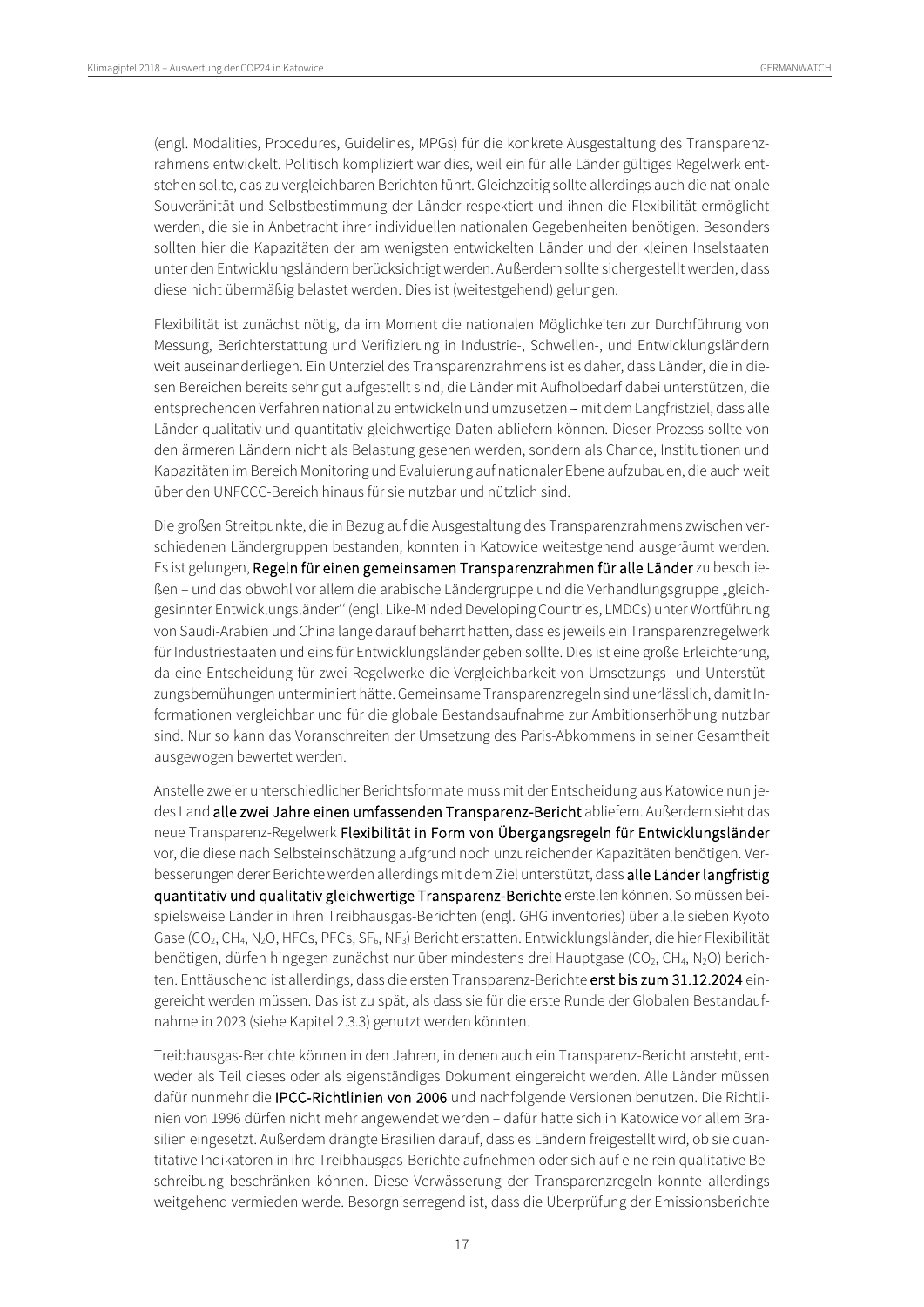(engl. Modalities, Procedures, Guidelines, MPGs) für die konkrete Ausgestaltung des Transparenzrahmens entwickelt. Politisch kompliziert war dies, weil ein für alle Länder gültiges Regelwerk entstehen sollte, das zu vergleichbaren Berichten führt. Gleichzeitig sollte allerdings auch die nationale Souveränität und Selbstbestimmung der Länder respektiert und ihnen die Flexibilität ermöglicht werden, die sie in Anbetracht ihrer individuellen nationalen Gegebenheiten benötigen. Besonders sollten hier die Kapazitäten der am wenigsten entwickelten Länder und der kleinen Inselstaaten unter den Entwicklungsländern berücksichtigt werden. Außerdem sollte sichergestellt werden, dass diese nicht übermäßig belastet werden. Dies ist (weitestgehend) gelungen.

Flexibilität ist zunächst nötig, da im Moment die nationalen Möglichkeiten zur Durchführung von Messung, Berichterstattung und Verifizierung in Industrie-, Schwellen-, und Entwicklungsländern weit auseinanderliegen. Ein Unterziel des Transparenzrahmens ist es daher, dass Länder, die in diesen Bereichen bereits sehr gut aufgestellt sind, die Länder mit Aufholbedarf dabei unterstützen, die entsprechenden Verfahren national zu entwickeln und umzusetzen - mit dem Langfristziel, dass alle Länder qualitativ und quantitativ gleichwertige Daten abliefern können. Dieser Prozess sollte von den ärmeren Ländern nicht als Belastung gesehen werden, sondern als Chance, Institutionen und Kapazitäten im Bereich Monitoring und Evaluierung auf nationaler Ebene aufzubauen, die auch weit über den UNFCCC-Bereich hinaus für sie nutzbar und nützlich sind.

Die großen Streitpunkte, die in Bezug auf die Ausgestaltung des Transparenzrahmens zwischen verschiedenen Ländergruppen bestanden, konnten in Katowice weitestgehend ausgeräumt werden. Es ist gelungen, Regeln für einen gemeinsamen Transparenzrahmen für alle Länder zu beschließen – und das obwohl vor allem die arabische Ländergruppe und die Verhandlungsgruppe "gleichgesinnter Entwicklungsländer'' (engl. Like-Minded Developing Countries, LMDCs) unter Wortführung von Saudi-Arabien und China lange darauf beharrt hatten, dass es jeweils ein Transparenzregelwerk für Industriestaaten und eins für Entwicklungsländer geben sollte. Dies ist eine große Erleichterung, da eine Entscheidung für zwei Regelwerke die Vergleichbarkeit von Umsetzungs- und Unterstützungsbemühungen unterminiert hätte. Gemeinsame Transparenzregeln sind unerlässlich, damit Informationen vergleichbar und für die globale Bestandsaufnahme zur Ambitionserhöhung nutzbar sind. Nur so kann das Voranschreiten der Umsetzung des Paris-Abkommens in seiner Gesamtheit ausgewogen bewertet werden.

Anstelle zweier unterschiedlicher Berichtsformate muss mit der Entscheidung aus Katowice nun jedes Land alle zwei Jahre einen umfassenden Transparenz-Bericht abliefern. Außerdem sieht das neue Transparenz-Regelwerk Flexibilität in Form von Übergangsregeln für Entwicklungsländer vor, die diese nach Selbsteinschätzung aufgrund noch unzureichender Kapazitäten benötigen. Verbesserungen derer Berichte werden allerdings mit dem Ziel unterstützt, dass alle Länder langfristig quantitativ und qualitativ gleichwertige Transparenz-Berichte erstellen können. So müssen beispielsweise Länder in ihren Treibhausgas-Berichten (engl. GHG inventories) über alle sieben Kyoto Gase (CO<sub>2</sub>, CH<sub>4</sub>, N<sub>2</sub>O, HFCs, PFCs, SF<sub>6</sub>, NF<sub>3</sub>) Bericht erstatten. Entwicklungsländer, die hier Flexibilität benötigen, dürfen hingegen zunächst nur über mindestens drei Hauptgase (CO<sub>2</sub>, CH<sub>4</sub>, N<sub>2</sub>O) berichten. Enttäuschend ist allerdings, dass die ersten Transparenz-Berichte erst bis zum 31.12.2024 eingereicht werden müssen. Das ist zu spät, als dass sie für die erste Runde der Globalen Bestandaufnahme in 2023 (siehe Kapitel 2.3.3) genutzt werden könnten.

Treibhausgas-Berichte können in den Jahren, in denen auch ein Transparenz-Bericht ansteht, entweder als Teil dieses oder als eigenständiges Dokument eingereicht werden. Alle Länder müssen dafür nunmehr die IPCC-Richtlinien von 2006 und nachfolgende Versionen benutzen. Die Richtlinien von 1996 dürfen nicht mehr angewendet werden – dafür hatte sich in Katowice vor allem Brasilien eingesetzt. Außerdem drängte Brasilien darauf, dass es Ländern freigestellt wird, ob sie quantitative Indikatoren in ihre Treibhausgas-Berichte aufnehmen oder sich auf eine rein qualitative Beschreibung beschränken können. Diese Verwässerung der Transparenzregeln konnte allerdings weitgehend vermieden werde. Besorgniserregend ist, dass die Überprüfung der Emissionsberichte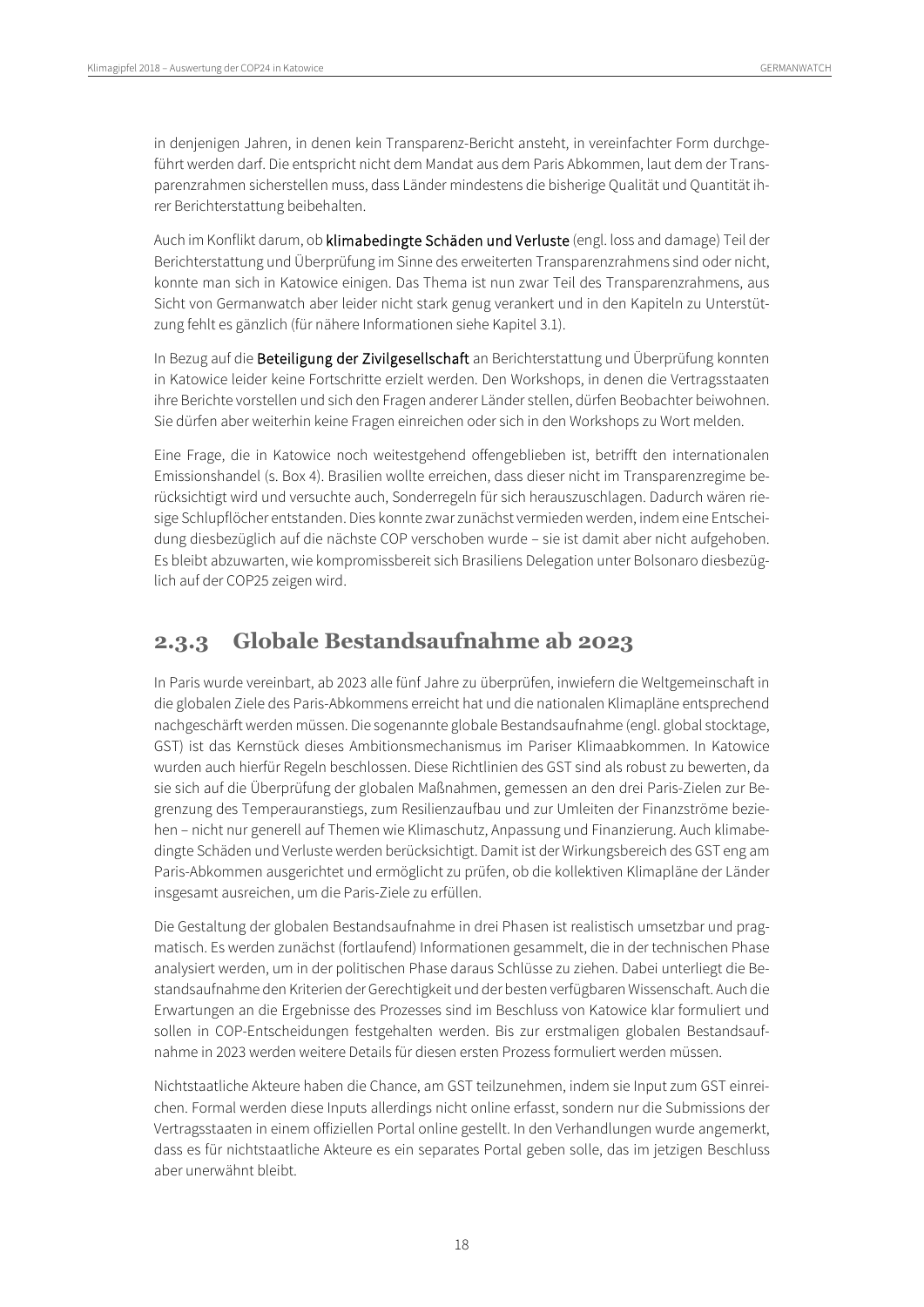in denjenigen Jahren, in denen kein Transparenz-Bericht ansteht, in vereinfachter Form durchgeführt werden darf. Die entspricht nicht dem Mandat aus dem Paris Abkommen, laut dem der Transparenzrahmen sicherstellen muss, dass Länder mindestens die bisherige Qualität und Quantität ihrer Berichterstattung beibehalten.

Auch im Konflikt darum, ob klimabedingte Schäden und Verluste (engl. loss and damage) Teil der Berichterstattung und Überprüfung im Sinne des erweiterten Transparenzrahmens sind oder nicht, konnte man sich in Katowice einigen. Das Thema ist nun zwar Teil des Transparenzrahmens, aus Sicht von Germanwatch aber leider nicht stark genug verankert und in den Kapiteln zu Unterstützung fehlt es gänzlich (für nähere Informationen siehe Kapitel 3.1).

In Bezug auf die Beteiligung der Zivilgesellschaft an Berichterstattung und Überprüfung konnten in Katowice leider keine Fortschritte erzielt werden. Den Workshops, in denen die Vertragsstaaten ihre Berichte vorstellen und sich den Fragen anderer Länder stellen, dürfen Beobachter beiwohnen. Sie dürfen aber weiterhin keine Fragen einreichen oder sich in den Workshops zu Wort melden.

Eine Frage, die in Katowice noch weitestgehend offengeblieben ist, betrifft den internationalen Emissionshandel (s. Box 4). Brasilien wollte erreichen, dass dieser nicht im Transparenzregime berücksichtigt wird und versuchte auch, Sonderregeln für sich herauszuschlagen. Dadurch wären riesige Schlupflöcher entstanden. Dies konnte zwar zunächst vermieden werden, indem eine Entscheidung diesbezüglich auf die nächste COP verschoben wurde – sie ist damit aber nicht aufgehoben. Es bleibt abzuwarten, wie kompromissbereit sich Brasiliens Delegation unter Bolsonaro diesbezüglich auf der COP25 zeigen wird.

### <span id="page-17-0"></span>**2.3.3 Globale Bestandsaufnahme ab 2023**

In Paris wurde vereinbart, ab 2023 alle fünf Jahre zu überprüfen, inwiefern die Weltgemeinschaft in die globalen Ziele des Paris-Abkommens erreicht hat und die nationalen Klimapläne entsprechend nachgeschärft werden müssen. Die sogenannte globale Bestandsaufnahme (engl. global stocktage, GST) ist das Kernstück dieses Ambitionsmechanismus im Pariser Klimaabkommen. In Katowice wurden auch hierfür Regeln beschlossen. Diese Richtlinien des GST sind als robust zu bewerten, da sie sich auf die Überprüfung der globalen Maßnahmen, gemessen an den drei Paris-Zielen zur Begrenzung des Temperauranstiegs, zum Resilienzaufbau und zur Umleiten der Finanzströme beziehen – nicht nur generell auf Themen wie Klimaschutz, Anpassung und Finanzierung. Auch klimabedingte Schäden und Verluste werden berücksichtigt. Damit ist der Wirkungsbereich des GST eng am Paris-Abkommen ausgerichtet und ermöglicht zu prüfen, ob die kollektiven Klimapläne der Länder insgesamt ausreichen, um die Paris-Ziele zu erfüllen.

Die Gestaltung der globalen Bestandsaufnahme in drei Phasen ist realistisch umsetzbar und pragmatisch. Es werden zunächst (fortlaufend) Informationen gesammelt, die in der technischen Phase analysiert werden, um in der politischen Phase daraus Schlüsse zu ziehen. Dabei unterliegt die Bestandsaufnahme den Kriterien der Gerechtigkeit und der besten verfügbaren Wissenschaft. Auch die Erwartungen an die Ergebnisse des Prozesses sind im Beschluss von Katowice klar formuliert und sollen in COP-Entscheidungen festgehalten werden. Bis zur erstmaligen globalen Bestandsaufnahme in 2023 werden weitere Details für diesen ersten Prozess formuliert werden müssen.

Nichtstaatliche Akteure haben die Chance, am GST teilzunehmen, indem sie Input zum GST einreichen. Formal werden diese Inputs allerdings nicht online erfasst, sondern nur die Submissions der Vertragsstaaten in einem offiziellen Portal online gestellt. In den Verhandlungen wurde angemerkt, dass es für nichtstaatliche Akteure es ein separates Portal geben solle, das im jetzigen Beschluss aber unerwähnt bleibt.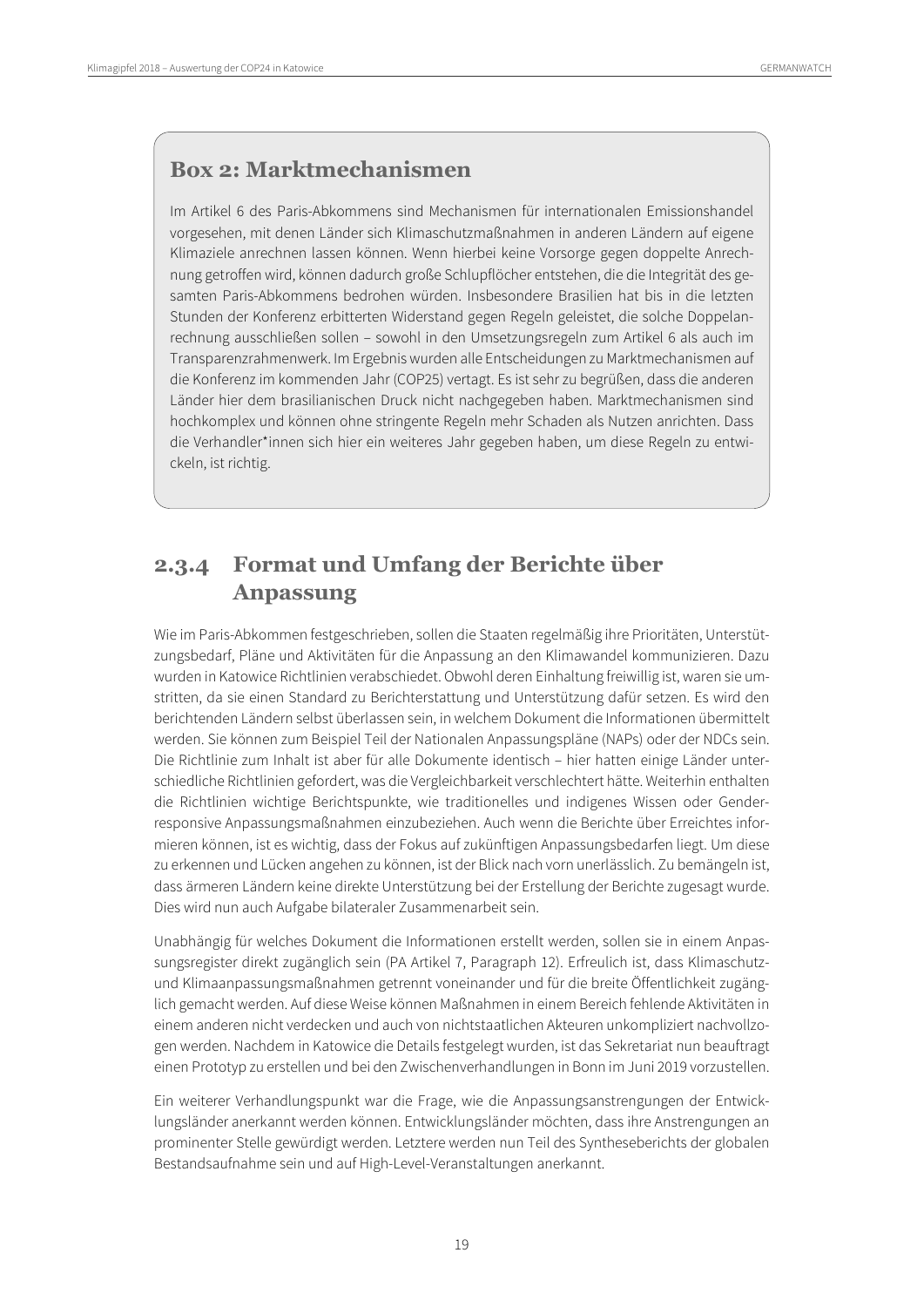## **Box 2: Marktmechanismen**

Im Artikel 6 des Paris-Abkommens sind Mechanismen für internationalen Emissionshandel vorgesehen, mit denen Länder sich Klimaschutzmaßnahmen in anderen Ländern auf eigene Klimaziele anrechnen lassen können. Wenn hierbei keine Vorsorge gegen doppelte Anrechnung getroffen wird, können dadurch große Schlupflöcher entstehen, die die Integrität des gesamten Paris-Abkommens bedrohen würden. Insbesondere Brasilien hat bis in die letzten Stunden der Konferenz erbitterten Widerstand gegen Regeln geleistet, die solche Doppelanrechnung ausschließen sollen – sowohl in den Umsetzungsregeln zum Artikel 6 als auch im Transparenzrahmenwerk. Im Ergebnis wurden alle Entscheidungen zu Marktmechanismen auf die Konferenz im kommenden Jahr (COP25) vertagt. Es ist sehr zu begrüßen, dass die anderen Länder hier dem brasilianischen Druck nicht nachgegeben haben. Marktmechanismen sind hochkomplex und können ohne stringente Regeln mehr Schaden als Nutzen anrichten. Dass die Verhandler\*innen sich hier ein weiteres Jahr gegeben haben, um diese Regeln zu entwickeln, ist richtig.

## <span id="page-18-0"></span>**2.3.4 Format und Umfang der Berichte über Anpassung**

Wie im Paris-Abkommen festgeschrieben, sollen die Staaten regelmäßig ihre Prioritäten, Unterstützungsbedarf, Pläne und Aktivitäten für die Anpassung an den Klimawandel kommunizieren. Dazu wurden in Katowice Richtlinien verabschiedet. Obwohl deren Einhaltung freiwillig ist, waren sie umstritten, da sie einen Standard zu Berichterstattung und Unterstützung dafür setzen. Es wird den berichtenden Ländern selbst überlassen sein, in welchem Dokument die Informationen übermittelt werden. Sie können zum Beispiel Teil der Nationalen Anpassungspläne (NAPs) oder der NDCs sein. Die Richtlinie zum Inhalt ist aber für alle Dokumente identisch – hier hatten einige Länder unterschiedliche Richtlinien gefordert, was die Vergleichbarkeit verschlechtert hätte. Weiterhin enthalten die Richtlinien wichtige Berichtspunkte, wie traditionelles und indigenes Wissen oder Genderresponsive Anpassungsmaßnahmen einzubeziehen. Auch wenn die Berichte über Erreichtes informieren können, ist es wichtig, dass der Fokus auf zukünftigen Anpassungsbedarfen liegt. Um diese zu erkennen und Lücken angehen zu können, ist der Blick nach vorn unerlässlich. Zu bemängeln ist, dass ärmeren Ländern keine direkte Unterstützung bei der Erstellung der Berichte zugesagt wurde. Dies wird nun auch Aufgabe bilateraler Zusammenarbeit sein.

Unabhängig für welches Dokument die Informationen erstellt werden, sollen sie in einem Anpassungsregister direkt zugänglich sein (PA Artikel 7, Paragraph 12). Erfreulich ist, dass Klimaschutzund Klimaanpassungsmaßnahmen getrennt voneinander und für die breite Öffentlichkeit zugänglich gemacht werden. Auf diese Weise können Maßnahmen in einem Bereich fehlende Aktivitäten in einem anderen nicht verdecken und auch von nichtstaatlichen Akteuren unkompliziert nachvollzogen werden. Nachdem in Katowice die Details festgelegt wurden, ist das Sekretariat nun beauftragt einen Prototyp zu erstellen und bei den Zwischenverhandlungen in Bonn im Juni 2019 vorzustellen.

Ein weiterer Verhandlungspunkt war die Frage, wie die Anpassungsanstrengungen der Entwicklungsländer anerkannt werden können. Entwicklungsländer möchten, dass ihre Anstrengungen an prominenter Stelle gewürdigt werden. Letztere werden nun Teil des Syntheseberichts der globalen Bestandsaufnahme sein und auf High-Level-Veranstaltungen anerkannt.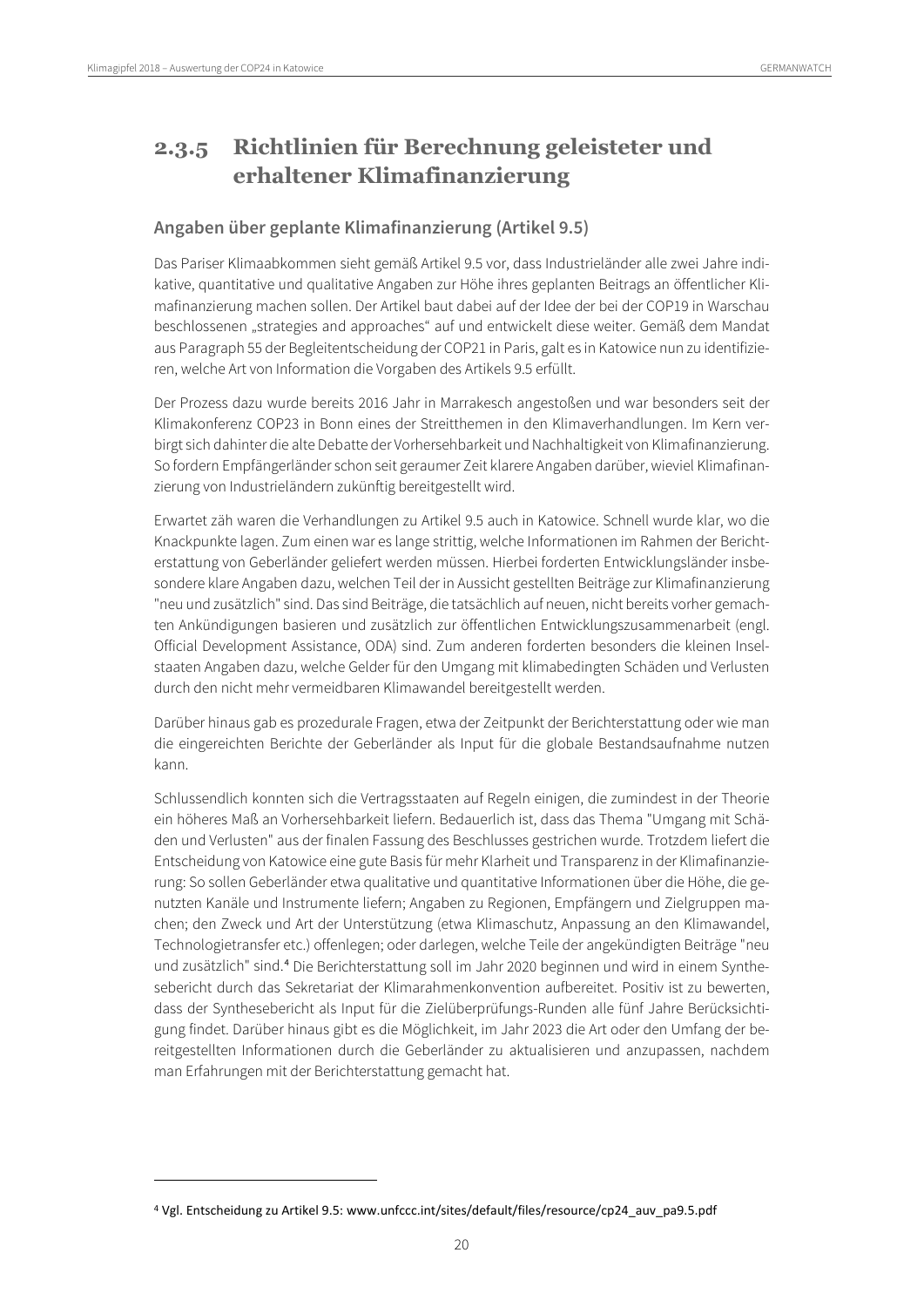$\overline{a}$ 

## <span id="page-19-0"></span>**2.3.5 Richtlinien für Berechnung geleisteter und erhaltener Klimafinanzierung**

### **Angaben über geplante Klimafinanzierung (Artikel 9.5)**

Das Pariser Klimaabkommen sieht gemäß Artikel 9.5 vor, dass Industrieländer alle zwei Jahre indikative, quantitative und qualitative Angaben zur Höhe ihres geplanten Beitrags an öffentlicher Klimafinanzierung machen sollen. Der Artikel baut dabei auf der Idee der bei der COP19 in Warschau beschlossenen "strategies and approaches" auf und entwickelt diese weiter. Gemäß dem Mandat aus Paragraph 55 der Begleitentscheidung der COP21 in Paris, galt es in Katowice nun zu identifizieren, welche Art von Information die Vorgaben des Artikels 9.5 erfüllt.

Der Prozess dazu wurde bereits 2016 Jahr in Marrakesch angestoßen und war besonders seit der Klimakonferenz COP23 in Bonn eines der Streitthemen in den Klimaverhandlungen. Im Kern verbirgt sich dahinter die alte Debatte der Vorhersehbarkeit und Nachhaltigkeit von Klimafinanzierung. So fordern Empfängerländer schon seit geraumer Zeit klarere Angaben darüber, wieviel Klimafinanzierung von Industrieländern zukünftig bereitgestellt wird.

Erwartet zäh waren die Verhandlungen zu Artikel 9.5 auch in Katowice. Schnell wurde klar, wo die Knackpunkte lagen. Zum einen war es lange strittig, welche Informationen im Rahmen der Berichterstattung von Geberländer geliefert werden müssen. Hierbei forderten Entwicklungsländer insbesondere klare Angaben dazu, welchen Teil der in Aussicht gestellten Beiträge zur Klimafinanzierung "neu und zusätzlich" sind. Das sind Beiträge, die tatsächlich auf neuen, nicht bereits vorher gemachten Ankündigungen basieren und zusätzlich zur öffentlichen Entwicklungszusammenarbeit (engl. Official Development Assistance, ODA) sind. Zum anderen forderten besonders die kleinen Inselstaaten Angaben dazu, welche Gelder für den Umgang mit klimabedingten Schäden und Verlusten durch den nicht mehr vermeidbaren Klimawandel bereitgestellt werden.

Darüber hinaus gab es prozedurale Fragen, etwa der Zeitpunkt der Berichterstattung oder wie man die eingereichten Berichte der Geberländer als Input für die globale Bestandsaufnahme nutzen kann.

Schlussendlich konnten sich die Vertragsstaaten auf Regeln einigen, die zumindest in der Theorie ein höheres Maß an Vorhersehbarkeit liefern. Bedauerlich ist, dass das Thema "Umgang mit Schäden und Verlusten" aus der finalen Fassung des Beschlusses gestrichen wurde. Trotzdem liefert die Entscheidung von Katowice eine gute Basis für mehr Klarheit und Transparenz in der Klimafinanzierung: So sollen Geberländer etwa qualitative und quantitative Informationen über die Höhe, die genutzten Kanäle und Instrumente liefern; Angaben zu Regionen, Empfängern und Zielgruppen machen; den Zweck und Art der Unterstützung (etwa Klimaschutz, Anpassung an den Klimawandel, Technologietransfer etc.) offenlegen; oder darlegen, welche Teile der angekündigten Beiträge "neu und zusätzlich" sind.[4](#page-19-1) Die Berichterstattung soll im Jahr 2020 beginnen und wird in einem Synthesebericht durch das Sekretariat der Klimarahmenkonvention aufbereitet. Positiv ist zu bewerten, dass der Synthesebericht als Input für die Zielüberprüfungs-Runden alle fünf Jahre Berücksichtigung findet. Darüber hinaus gibt es die Möglichkeit, im Jahr 2023 die Art oder den Umfang der bereitgestellten Informationen durch die Geberländer zu aktualisieren und anzupassen, nachdem man Erfahrungen mit der Berichterstattung gemacht hat.

<span id="page-19-1"></span><sup>4</sup> Vgl. Entscheidung zu Artikel 9.5: www.unfccc.int/sites/default/files/resource/cp24\_auv\_pa9.5.pdf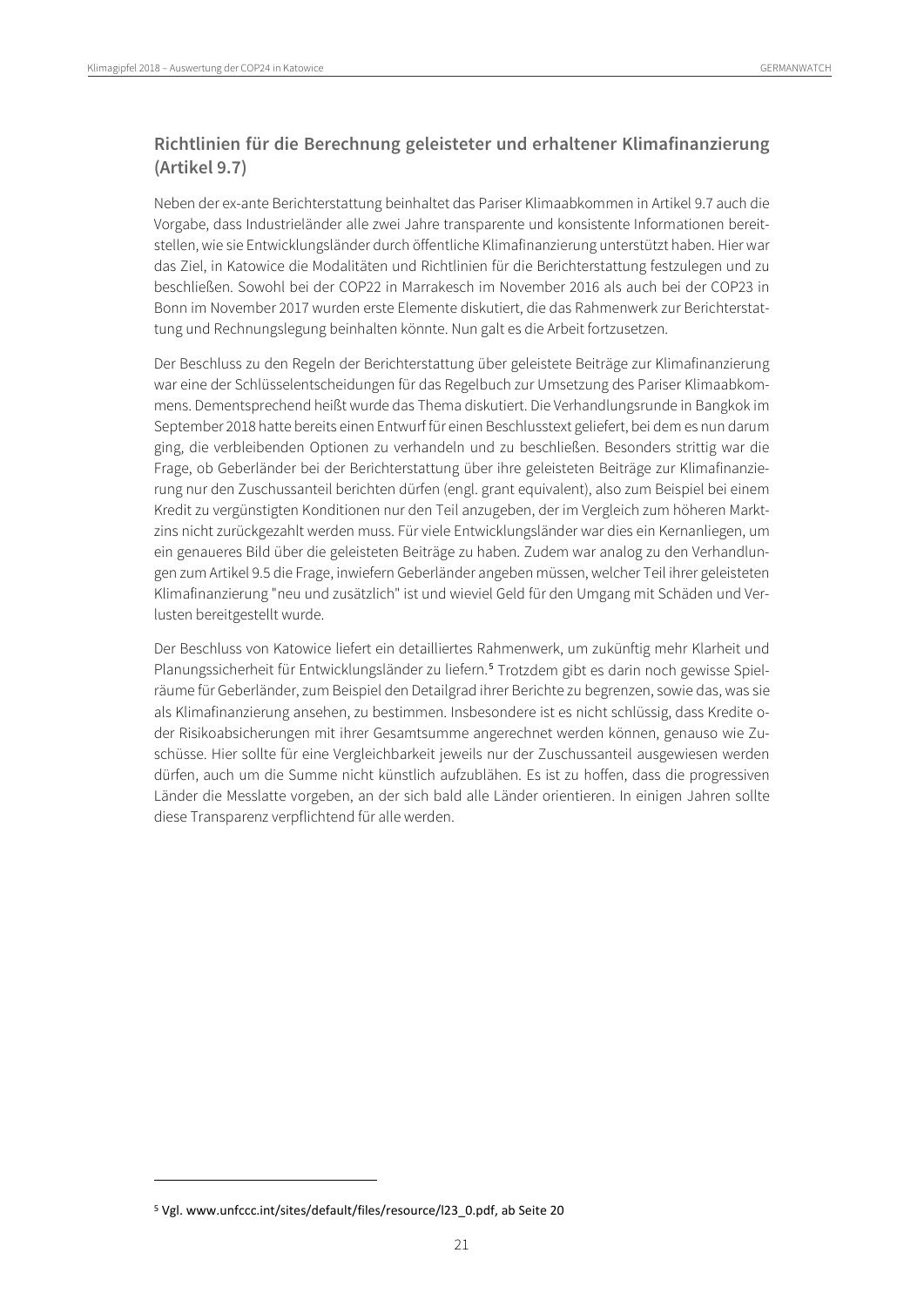### **Richtlinien für die Berechnung geleisteter und erhaltener Klimafinanzierung (Artikel 9.7)**

Neben der ex-ante Berichterstattung beinhaltet das Pariser Klimaabkommen in Artikel 9.7 auch die Vorgabe, dass Industrieländer alle zwei Jahre transparente und konsistente Informationen bereitstellen, wie sie Entwicklungsländer durch öffentliche Klimafinanzierung unterstützt haben. Hier war das Ziel, in Katowice die Modalitäten und Richtlinien für die Berichterstattung festzulegen und zu beschließen. Sowohl bei der COP22 in Marrakesch im November 2016 als auch bei der COP23 in Bonn im November 2017 wurden erste Elemente diskutiert, die das Rahmenwerk zur Berichterstattung und Rechnungslegung beinhalten könnte. Nun galt es die Arbeit fortzusetzen.

Der Beschluss zu den Regeln der Berichterstattung über geleistete Beiträge zur Klimafinanzierung war eine der Schlüsselentscheidungen für das Regelbuch zur Umsetzung des Pariser Klimaabkommens. Dementsprechend heißt wurde das Thema diskutiert. Die Verhandlungsrunde in Bangkok im September 2018 hatte bereits einen Entwurf für einen Beschlusstext geliefert, bei dem es nun darum ging, die verbleibenden Optionen zu verhandeln und zu beschließen. Besonders strittig war die Frage, ob Geberländer bei der Berichterstattung über ihre geleisteten Beiträge zur Klimafinanzierung nur den Zuschussanteil berichten dürfen (engl. grant equivalent), also zum Beispiel bei einem Kredit zu vergünstigten Konditionen nur den Teil anzugeben, der im Vergleich zum höheren Marktzins nicht zurückgezahlt werden muss. Für viele Entwicklungsländer war dies ein Kernanliegen, um ein genaueres Bild über die geleisteten Beiträge zu haben. Zudem war analog zu den Verhandlungen zum Artikel 9.5 die Frage, inwiefern Geberländer angeben müssen, welcher Teil ihrer geleisteten Klimafinanzierung "neu und zusätzlich" ist und wieviel Geld für den Umgang mit Schäden und Verlusten bereitgestellt wurde.

Der Beschluss von Katowice liefert ein detailliertes Rahmenwerk, um zukünftig mehr Klarheit und Planungssicherheit für Entwicklungsländer zu liefern.[5](#page-20-0) Trotzdem gibt es darin noch gewisse Spielräume für Geberländer, zum Beispiel den Detailgrad ihrer Berichte zu begrenzen, sowie das, was sie als Klimafinanzierung ansehen, zu bestimmen. Insbesondere ist es nicht schlüssig, dass Kredite oder Risikoabsicherungen mit ihrer Gesamtsumme angerechnet werden können, genauso wie Zuschüsse. Hier sollte für eine Vergleichbarkeit jeweils nur der Zuschussanteil ausgewiesen werden dürfen, auch um die Summe nicht künstlich aufzublähen. Es ist zu hoffen, dass die progressiven Länder die Messlatte vorgeben, an der sich bald alle Länder orientieren. In einigen Jahren sollte diese Transparenz verpflichtend für alle werden.

<span id="page-20-0"></span><sup>5</sup> Vgl. www.unfccc.int/sites/default/files/resource/l23\_0.pdf, ab Seite 20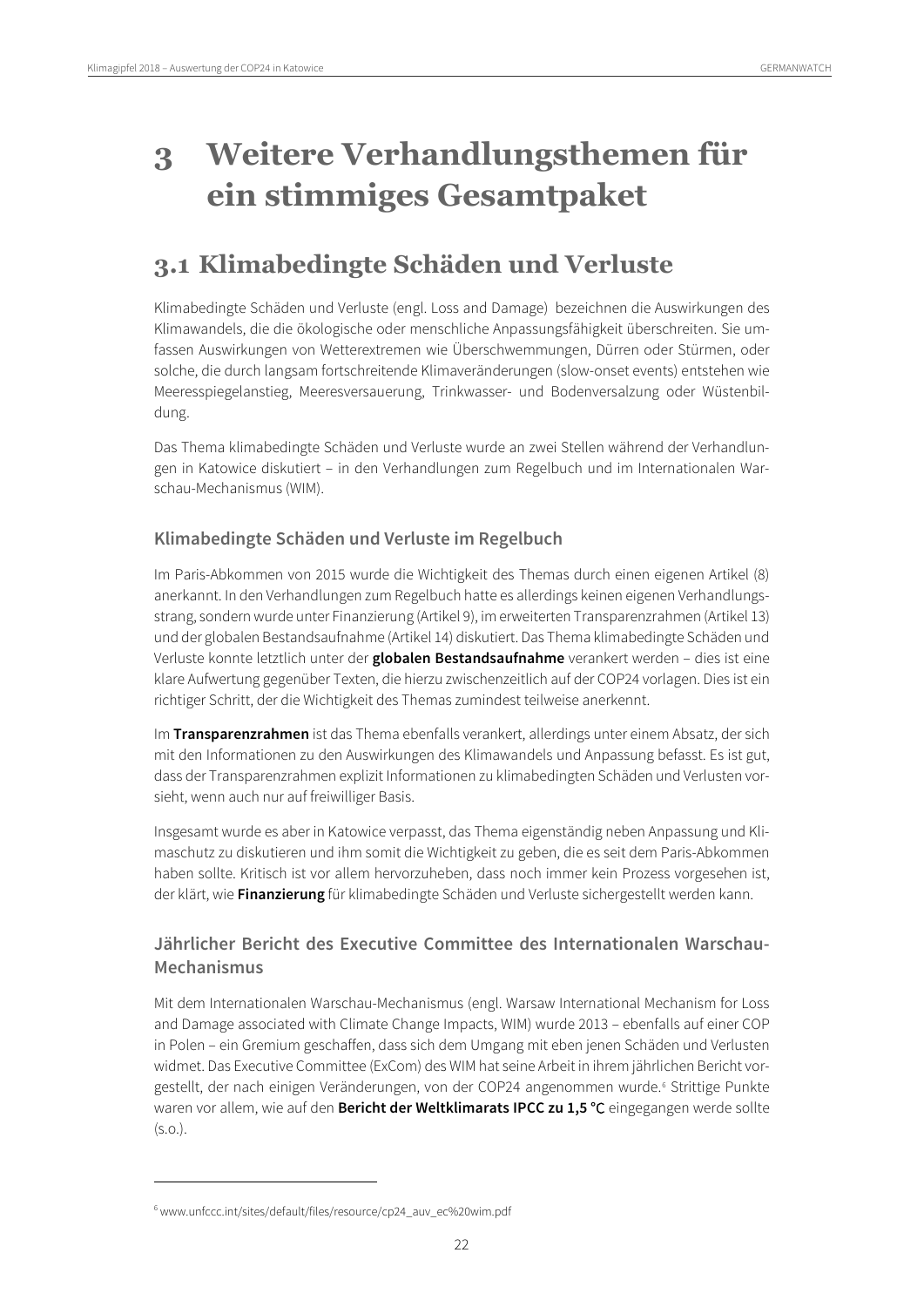# <span id="page-21-0"></span>**3 Weitere Verhandlungsthemen für ein stimmiges Gesamtpaket**

## <span id="page-21-1"></span>**3.1 Klimabedingte Schäden und Verluste**

Klimabedingte Schäden und Verluste (engl. Loss and Damage) bezeichnen die Auswirkungen des Klimawandels, die die ökologische oder menschliche Anpassungsfähigkeit überschreiten. Sie umfassen Auswirkungen von Wetterextremen wie Überschwemmungen, Dürren oder Stürmen, oder solche, die durch langsam fortschreitende Klimaveränderungen (slow-onset events) entstehen wie Meeresspiegelanstieg, Meeresversauerung, Trinkwasser- und Bodenversalzung oder Wüstenbildung.

Das Thema klimabedingte Schäden und Verluste wurde an zwei Stellen während der Verhandlungen in Katowice diskutiert – in den Verhandlungen zum Regelbuch und im Internationalen Warschau-Mechanismus (WIM).

### **Klimabedingte Schäden und Verluste im Regelbuch**

Im Paris-Abkommen von 2015 wurde die Wichtigkeit des Themas durch einen eigenen Artikel (8) anerkannt. In den Verhandlungen zum Regelbuch hatte es allerdings keinen eigenen Verhandlungsstrang, sondern wurde unter Finanzierung (Artikel 9), im erweiterten Transparenzrahmen (Artikel 13) und der globalen Bestandsaufnahme (Artikel 14) diskutiert. Das Thema klimabedingte Schäden und Verluste konnte letztlich unter der **globalen Bestandsaufnahme** verankert werden – dies ist eine klare Aufwertung gegenüber Texten, die hierzu zwischenzeitlich auf der COP24 vorlagen. Dies ist ein richtiger Schritt, der die Wichtigkeit des Themas zumindest teilweise anerkennt.

Im **Transparenzrahmen** ist das Thema ebenfalls verankert, allerdings unter einem Absatz, der sich mit den Informationen zu den Auswirkungen des Klimawandels und Anpassung befasst. Es ist gut, dass der Transparenzrahmen explizit Informationen zu klimabedingten Schäden und Verlusten vorsieht, wenn auch nur auf freiwilliger Basis.

Insgesamt wurde es aber in Katowice verpasst, das Thema eigenständig neben Anpassung und Klimaschutz zu diskutieren und ihm somit die Wichtigkeit zu geben, die es seit dem Paris-Abkommen haben sollte. Kritisch ist vor allem hervorzuheben, dass noch immer kein Prozess vorgesehen ist, der klärt, wie **Finanzierung** für klimabedingte Schäden und Verluste sichergestellt werden kann.

### **Jährlicher Bericht des Executive Committee des Internationalen Warschau-Mechanismus**

Mit dem Internationalen Warschau-Mechanismus (engl. Warsaw International Mechanism for Loss and Damage associated with Climate Change Impacts, WIM) wurde 2013 – ebenfalls auf einer COP in Polen – ein Gremium geschaffen, dass sich dem Umgang mit eben jenen Schäden und Verlusten widmet. Das Executive Committee (ExCom) des WIM hat seine Arbeit in ihrem jährlichen Bericht vor-gestellt, der nach einigen Veränderungen, von der COP24 angenommen wurde.<sup>[6](#page-21-2)</sup> Strittige Punkte waren vor allem, wie auf den **Bericht der Weltklimarats IPCC zu 1,5 °**C eingegangen werde sollte (s.o.).

<span id="page-21-2"></span><sup>6</sup> www.unfccc.int/sites/default/files/resource/cp24\_auv\_ec%20wim.pdf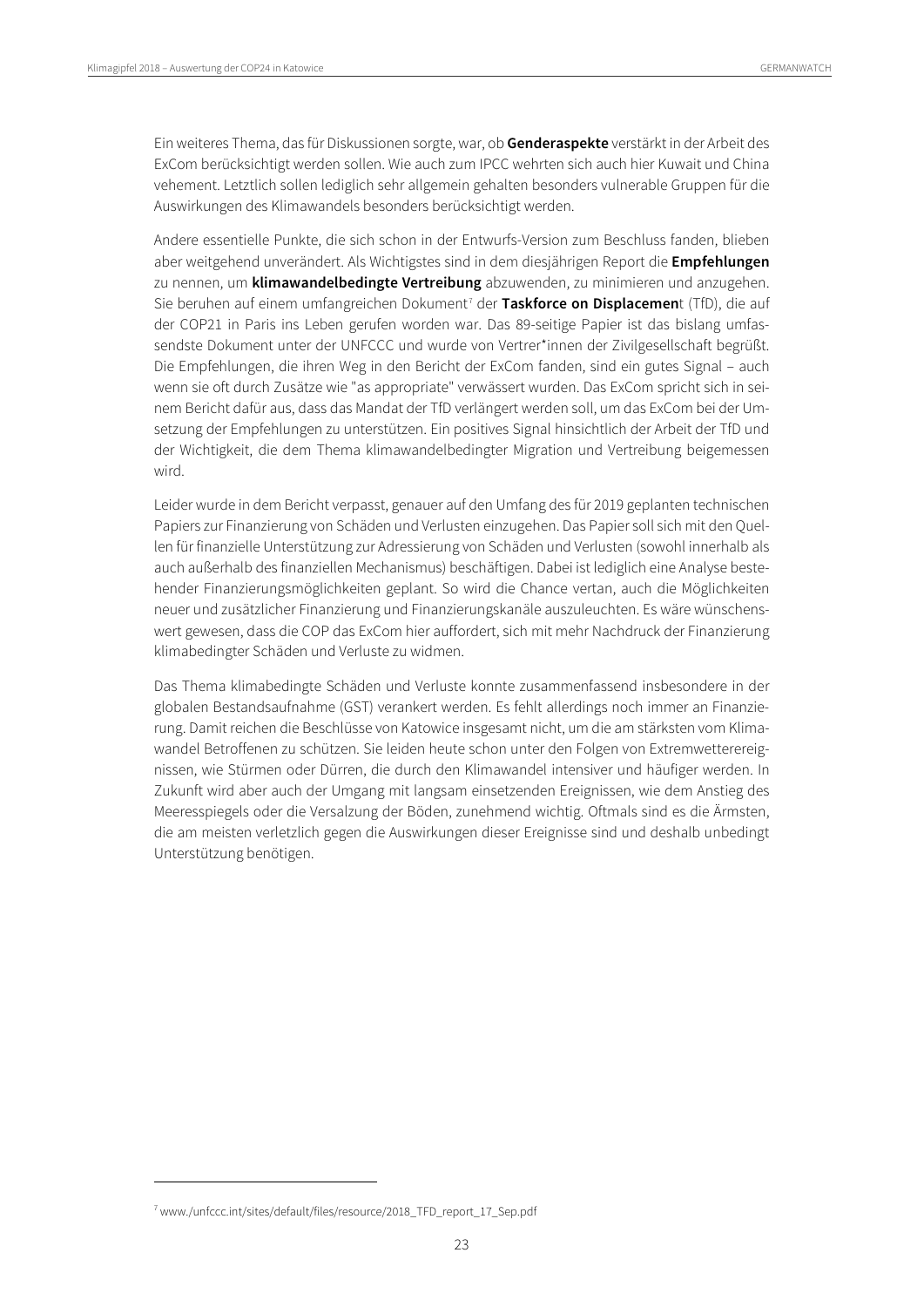Ein weiteres Thema, das für Diskussionen sorgte, war, ob **Genderaspekte** verstärkt in der Arbeit des ExCom berücksichtigt werden sollen. Wie auch zum IPCC wehrten sich auch hier Kuwait und China vehement. Letztlich sollen lediglich sehr allgemein gehalten besonders vulnerable Gruppen für die Auswirkungen des Klimawandels besonders berücksichtigt werden.

Andere essentielle Punkte, die sich schon in der Entwurfs-Version zum Beschluss fanden, blieben aber weitgehend unverändert. Als Wichtigstes sind in dem diesjährigen Report die **Empfehlungen** zu nennen, um **klimawandelbedingte Vertreibung** abzuwenden, zu minimieren und anzugehen. Sie beruhen auf einem umfangreichen Dokument<sup>[7](#page-22-0)</sup> der Taskforce on Displacement (TfD), die auf der COP21 in Paris ins Leben gerufen worden war. Das 89-seitige Papier ist das bislang umfassendste Dokument unter der UNFCCC und wurde von Vertrer\*innen der Zivilgesellschaft begrüßt. Die Empfehlungen, die ihren Weg in den Bericht der ExCom fanden, sind ein gutes Signal – auch wenn sie oft durch Zusätze wie "as appropriate" verwässert wurden. Das ExCom spricht sich in seinem Bericht dafür aus, dass das Mandat der TfD verlängert werden soll, um das ExCom bei der Umsetzung der Empfehlungen zu unterstützen. Ein positives Signal hinsichtlich der Arbeit der TfD und der Wichtigkeit, die dem Thema klimawandelbedingter Migration und Vertreibung beigemessen wird.

Leider wurde in dem Bericht verpasst, genauer auf den Umfang des für 2019 geplanten technischen Papiers zur Finanzierung von Schäden und Verlusten einzugehen. Das Papier soll sich mit den Quellen für finanzielle Unterstützung zur Adressierung von Schäden und Verlusten (sowohl innerhalb als auch außerhalb des finanziellen Mechanismus) beschäftigen. Dabei ist lediglich eine Analyse bestehender Finanzierungsmöglichkeiten geplant. So wird die Chance vertan, auch die Möglichkeiten neuer und zusätzlicher Finanzierung und Finanzierungskanäle auszuleuchten. Es wäre wünschenswert gewesen, dass die COP das ExCom hier auffordert, sich mit mehr Nachdruck der Finanzierung klimabedingter Schäden und Verluste zu widmen.

Das Thema klimabedingte Schäden und Verluste konnte zusammenfassend insbesondere in der globalen Bestandsaufnahme (GST) verankert werden. Es fehlt allerdings noch immer an Finanzierung. Damit reichen die Beschlüsse von Katowice insgesamt nicht, um die am stärksten vom Klimawandel Betroffenen zu schützen. Sie leiden heute schon unter den Folgen von Extremwetterereignissen, wie Stürmen oder Dürren, die durch den Klimawandel intensiver und häufiger werden. In Zukunft wird aber auch der Umgang mit langsam einsetzenden Ereignissen, wie dem Anstieg des Meeresspiegels oder die Versalzung der Böden, zunehmend wichtig. Oftmals sind es die Ärmsten, die am meisten verletzlich gegen die Auswirkungen dieser Ereignisse sind und deshalb unbedingt Unterstützung benötigen.

<span id="page-22-0"></span><sup>7</sup> www./unfccc.int/sites/default/files/resource/2018\_TFD\_report\_17\_Sep.pdf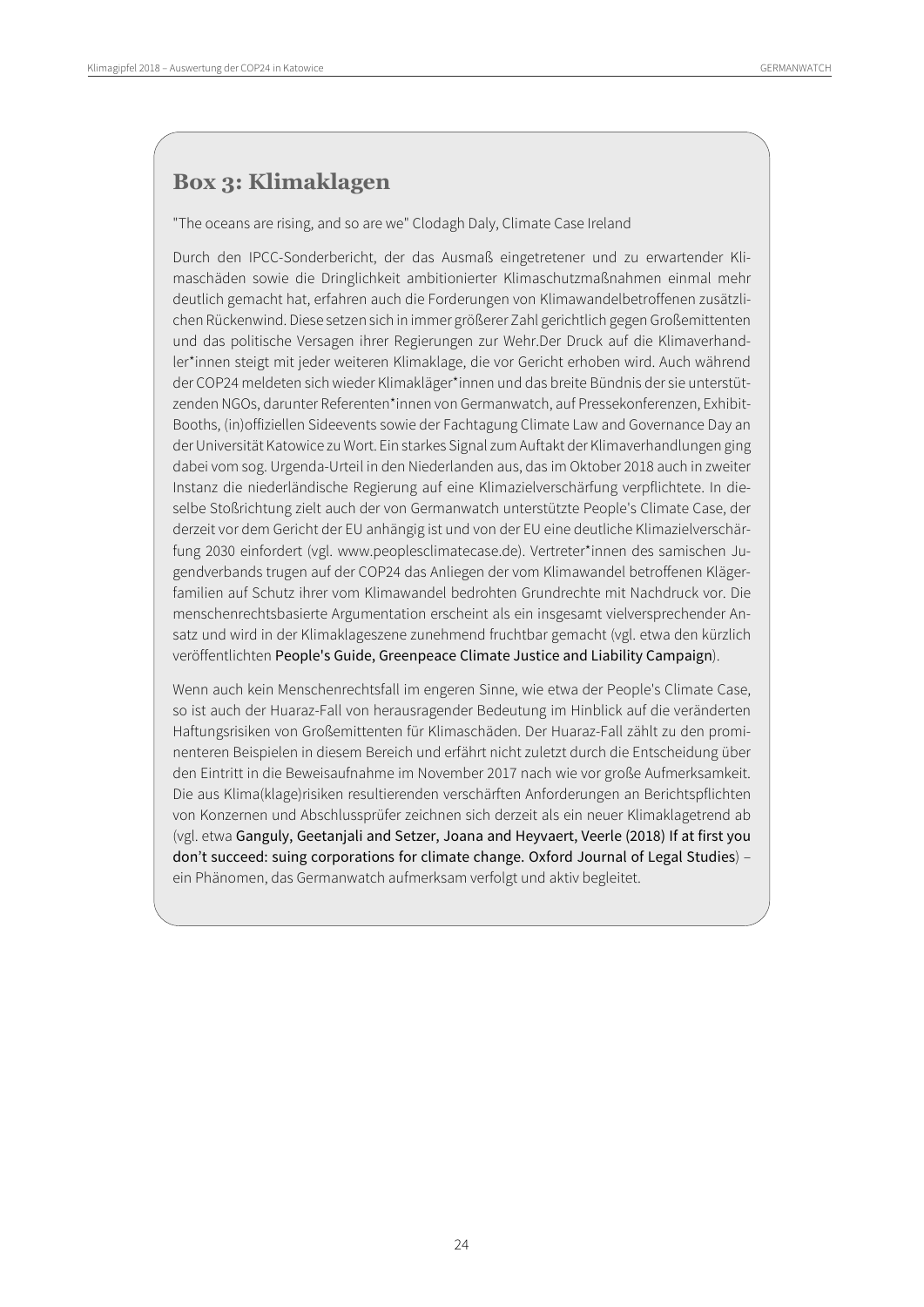## **Box 3: Klimaklagen**

"The oceans are rising, and so are we" Clodagh Daly, Climate Case Ireland

Durch den IPCC-Sonderbericht, der das Ausmaß eingetretener und zu erwartender Klimaschäden sowie die Dringlichkeit ambitionierter Klimaschutzmaßnahmen einmal mehr deutlich gemacht hat, erfahren auch die Forderungen von Klimawandelbetroffenen zusätzlichen Rückenwind. Diese setzen sich in immer größerer Zahl gerichtlich gegen Großemittenten und das politische Versagen ihrer Regierungen zur Wehr.Der Druck auf die Klimaverhandler\*innen steigt mit jeder weiteren Klimaklage, die vor Gericht erhoben wird. Auch während der COP24 meldeten sich wieder Klimakläger\*innen und das breite Bündnis der sie unterstützenden NGOs, darunter Referenten\*innen von Germanwatch, auf Pressekonferenzen, Exhibit-Booths, (in)offiziellen Sideevents sowie der Fachtagung Climate Law and Governance Day an derUniversität Katowice zu Wort. Ein starkes Signal zum Auftakt der Klimaverhandlungen ging dabei vom sog. Urgenda-Urteil in den Niederlanden aus, das im Oktober 2018 auch in zweiter Instanz die niederländische Regierung auf eine Klimazielverschärfung verpflichtete. In dieselbe Stoßrichtung zielt auch der von Germanwatch unterstützte People's Climate Case, der derzeit vor dem Gericht der EU anhängig ist und von der EU eine deutliche Klimazielverschärfung 2030 einfordert (vgl. www.peoplesclimatecase.de). Vertreter\*innen des samischen Jugendverbands trugen auf der COP24 das Anliegen der vom Klimawandel betroffenen Klägerfamilien auf Schutz ihrer vom Klimawandel bedrohten Grundrechte mit Nachdruck vor. Die menschenrechtsbasierte Argumentation erscheint als ein insgesamt vielversprechender Ansatz und wird in der Klimaklageszene zunehmend fruchtbar gemacht (vgl. etwa den kürzlich veröffentlichten People's Guide, Greenpeace Climate Justice and Liability Campaign).

Wenn auch kein Menschenrechtsfall im engeren Sinne, wie etwa der People's Climate Case, so ist auch der Huaraz-Fall von herausragender Bedeutung im Hinblick auf die veränderten Haftungsrisiken von Großemittenten für Klimaschäden. Der Huaraz-Fall zählt zu den prominenteren Beispielen in diesem Bereich und erfährt nicht zuletzt durch die Entscheidung über den Eintritt in die Beweisaufnahme im November 2017 nach wie vor große Aufmerksamkeit. Die aus Klima(klage)risiken resultierenden verschärften Anforderungen an Berichtspflichten von Konzernen und Abschlussprüfer zeichnen sich derzeit als ein neuer Klimaklagetrend ab (vgl. etwa Ganguly, Geetanjali and Setzer, Joana and Heyvaert, Veerle (2018) If at first you don't succeed: suing corporations for climate change. Oxford Journal of Legal Studies) – ein Phänomen, das Germanwatch aufmerksam verfolgt und aktiv begleitet.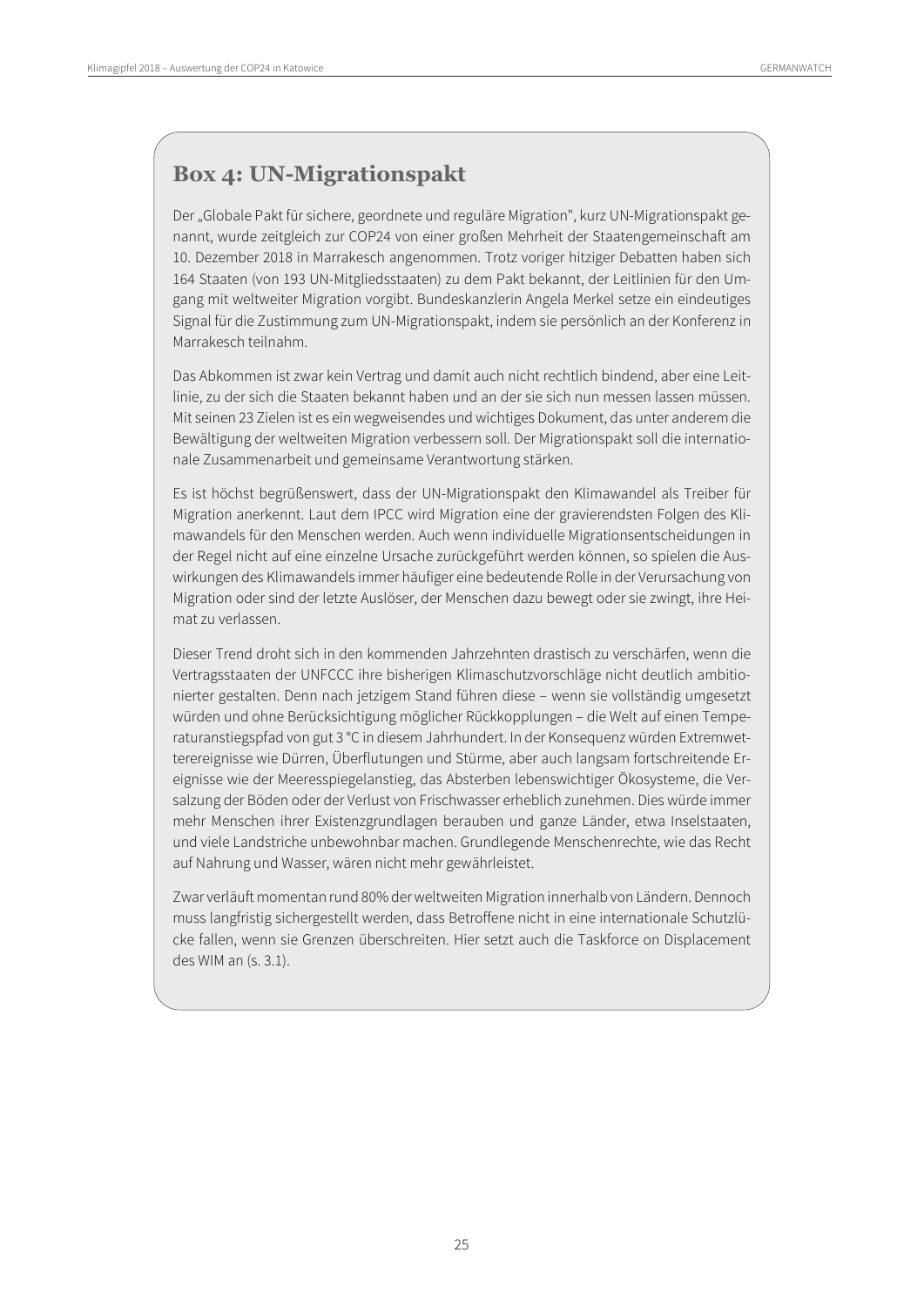## **Box 4: UN-Migrationspakt**

Der "Globale Pakt für sichere, geordnete und reguläre Migration", kurz UN-Migrationspakt genannt, wurde zeitgleich zur COP24 von einer großen Mehrheit der Staatengemeinschaft am 10. Dezember 2018 in Marrakesch angenommen. Trotz voriger hitziger Debatten haben sich 164 Staaten (von 193 UN-Mitgliedsstaaten) zu dem Pakt bekannt, der Leitlinien für den Umgang mit weltweiter Migration vorgibt. Bundeskanzlerin Angela Merkel setze ein eindeutiges Signal für die Zustimmung zum UN-Migrationspakt, indem sie persönlich an der Konferenz in Marrakesch teilnahm.

Das Abkommen ist zwar kein Vertrag und damit auch nicht rechtlich bindend, aber eine Leitlinie, zu der sich die Staaten bekannt haben und an der sie sich nun messen lassen müssen. Mit seinen 23 Zielen ist es ein wegweisendes und wichtiges Dokument, das unter anderem die Bewältigung der weltweiten Migration verbessern soll. Der Migrationspakt soll die internationale Zusammenarbeit und gemeinsame Verantwortung stärken.

Es ist höchst begrüßenswert, dass der UN-Migrationspakt den Klimawandel als Treiber für Migration anerkennt. Laut dem IPCC wird Migration eine der gravierendsten Folgen des Klimawandels für den Menschen werden. Auch wenn individuelle Migrationsentscheidungen in der Regel nicht auf eine einzelne Ursache zurückgeführt werden können, so spielen die Auswirkungen des Klimawandels immer häufiger eine bedeutende Rolle in der Verursachung von Migration oder sind der letzte Auslöser, der Menschen dazu bewegt oder sie zwingt, ihre Heimat zu verlassen.

Dieser Trend droht sich in den kommenden Jahrzehnten drastisch zu verschärfen, wenn die Vertragsstaaten der UNFCCC ihre bisherigen Klimaschutzvorschläge nicht deutlich ambitionierter gestalten. Denn nach jetzigem Stand führen diese – wenn sie vollständig umgesetzt würden und ohne Berücksichtigung möglicher Rückkopplungen – die Welt auf einen Temperaturanstiegspfad von gut 3 °C in diesem Jahrhundert. In der Konsequenz würden Extremwetterereignisse wie Dürren, Überflutungen und Stürme, aber auch langsam fortschreitende Ereignisse wie der Meeresspiegelanstieg, das Absterben lebenswichtiger Ökosysteme, die Versalzung der Böden oder der Verlust von Frischwasser erheblich zunehmen. Dies würde immer mehr Menschen ihrer Existenzgrundlagen berauben und ganze Länder, etwa Inselstaaten, und viele Landstriche unbewohnbar machen. Grundlegende Menschenrechte, wie das Recht auf Nahrung und Wasser, wären nicht mehr gewährleistet.

Zwar verläuft momentan rund 80% der weltweiten Migration innerhalb von Ländern. Dennoch muss langfristig sichergestellt werden, dass Betroffene nicht in eine internationale Schutzlücke fallen, wenn sie Grenzen überschreiten. Hier setzt auch die Taskforce on Displacement des WIM an (s. 3.1).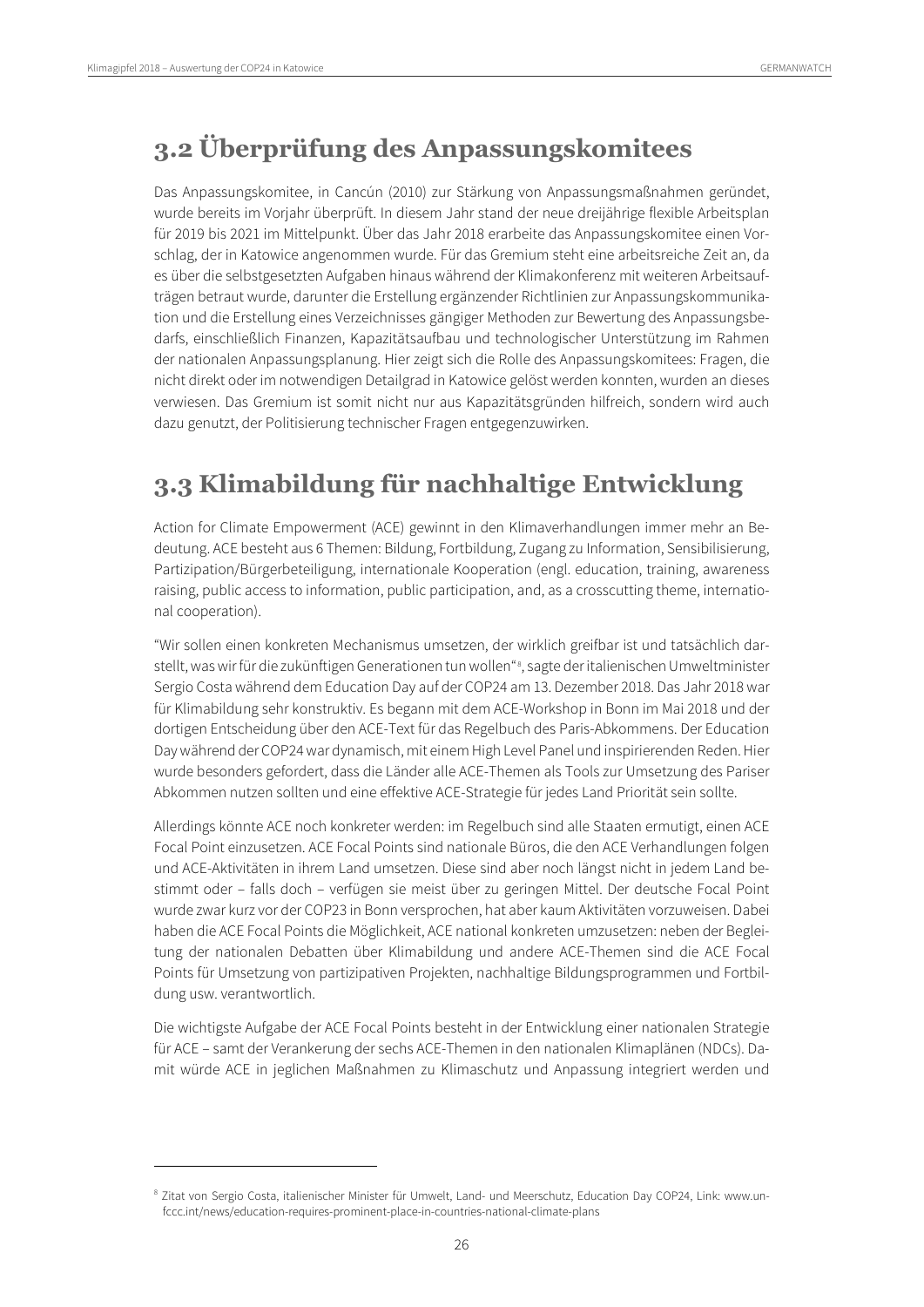$\overline{a}$ 

## <span id="page-25-0"></span>**3.2 Überprüfung des Anpassungskomitees**

Das Anpassungskomitee, in Cancún (2010) zur Stärkung von Anpassungsmaßnahmen geründet, wurde bereits im Vorjahr überprüft. In diesem Jahr stand der neue dreijährige flexible Arbeitsplan für 2019 bis 2021 im Mittelpunkt. Über das Jahr 2018 erarbeite das Anpassungskomitee einen Vorschlag, der in Katowice angenommen wurde. Für das Gremium steht eine arbeitsreiche Zeit an, da es über die selbstgesetzten Aufgaben hinaus während der Klimakonferenz mit weiteren Arbeitsaufträgen betraut wurde, darunter die Erstellung ergänzender Richtlinien zur Anpassungskommunikation und die Erstellung eines Verzeichnisses gängiger Methoden zur Bewertung des Anpassungsbedarfs, einschließlich Finanzen, Kapazitätsaufbau und technologischer Unterstützung im Rahmen der nationalen Anpassungsplanung. Hier zeigt sich die Rolle des Anpassungskomitees: Fragen, die nicht direkt oder im notwendigen Detailgrad in Katowice gelöst werden konnten, wurden an dieses verwiesen. Das Gremium ist somit nicht nur aus Kapazitätsgründen hilfreich, sondern wird auch dazu genutzt, der Politisierung technischer Fragen entgegenzuwirken.

## <span id="page-25-1"></span>**3.3 Klimabildung für nachhaltige Entwicklung**

Action for Climate Empowerment (ACE) gewinnt in den Klimaverhandlungen immer mehr an Bedeutung. ACE besteht aus 6 Themen: Bildung, Fortbildung, Zugang zu Information, Sensibilisierung, Partizipation/Bürgerbeteiligung, internationale Kooperation (engl. education, training, awareness raising, public access to information, public participation, and, as a crosscutting theme, international cooperation).

"Wir sollen einen konkreten Mechanismus umsetzen, der wirklich greifbar ist und tatsächlich darstellt, was wir für die zukünftigen Generationen tun wollen" [8](#page-25-2) , sagte der italienischen Umweltminister Sergio Costa während dem Education Day auf der COP24 am 13. Dezember 2018. Das Jahr 2018 war für Klimabildung sehr konstruktiv. Es begann mit dem ACE-Workshop in Bonn im Mai 2018 und der dortigen Entscheidung über den ACE-Text für das Regelbuch des Paris-Abkommens. Der Education Day während der COP24 war dynamisch, mit einem High Level Panel und inspirierenden Reden. Hier wurde besonders gefordert, dass die Länder alle ACE-Themen als Tools zur Umsetzung des Pariser Abkommen nutzen sollten und eine effektive ACE-Strategie für jedes Land Priorität sein sollte.

Allerdings könnte ACE noch konkreter werden: im Regelbuch sind alle Staaten ermutigt, einen ACE Focal Point einzusetzen. ACE Focal Points sind nationale Büros, die den ACE Verhandlungen folgen und ACE-Aktivitäten in ihrem Land umsetzen. Diese sind aber noch längst nicht in jedem Land bestimmt oder – falls doch – verfügen sie meist über zu geringen Mittel. Der deutsche Focal Point wurde zwar kurz vor der COP23 in Bonn versprochen, hat aber kaum Aktivitäten vorzuweisen. Dabei haben die ACE Focal Points die Möglichkeit, ACE national konkreten umzusetzen: neben der Begleitung der nationalen Debatten über Klimabildung und andere ACE-Themen sind die ACE Focal Points für Umsetzung von partizipativen Projekten, nachhaltige Bildungsprogrammen und Fortbildung usw. verantwortlich.

Die wichtigste Aufgabe der ACE Focal Points besteht in der Entwicklung einer nationalen Strategie für ACE – samt der Verankerung der sechs ACE-Themen in den nationalen Klimaplänen (NDCs). Damit würde ACE in jeglichen Maßnahmen zu Klimaschutz und Anpassung integriert werden und

<span id="page-25-2"></span><sup>8</sup> Zitat von Sergio Costa, italienischer Minister für Umwelt, Land- und Meerschutz, Education Day COP24, Link: www.unfccc.int/news/education-requires-prominent-place-in-countries-national-climate-plans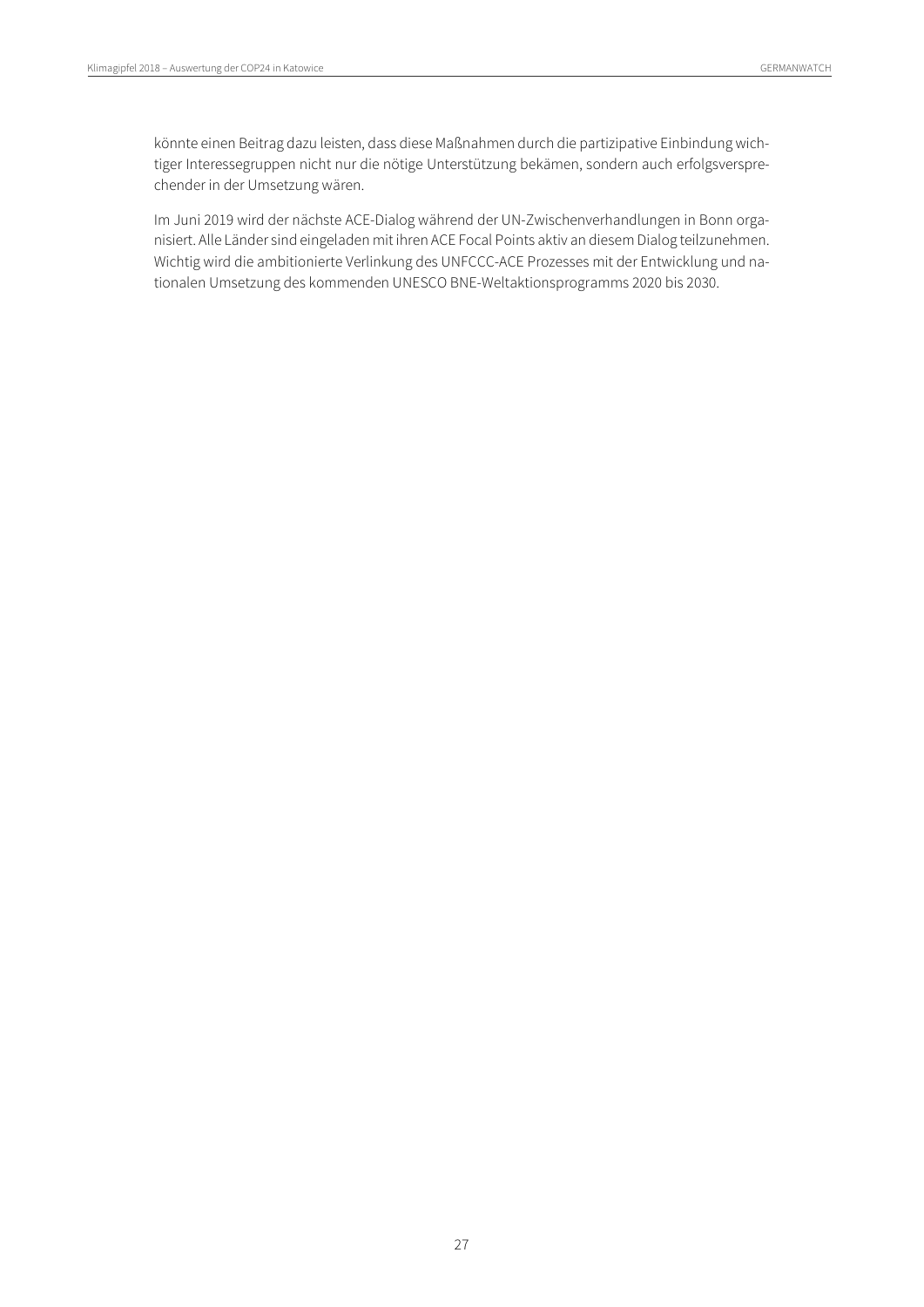könnte einen Beitrag dazu leisten, dass diese Maßnahmen durch die partizipative Einbindung wichtiger Interessegruppen nicht nur die nötige Unterstützung bekämen, sondern auch erfolgsversprechender in der Umsetzung wären.

Im Juni 2019 wird der nächste ACE-Dialog während der UN-Zwischenverhandlungen in Bonn organisiert. Alle Länder sind eingeladen mit ihren ACE Focal Points aktiv an diesem Dialog teilzunehmen. Wichtig wird die ambitionierte Verlinkung des UNFCCC-ACE Prozesses mit der Entwicklung und nationalen Umsetzung des kommenden UNESCO BNE-Weltaktionsprogramms 2020 bis 2030.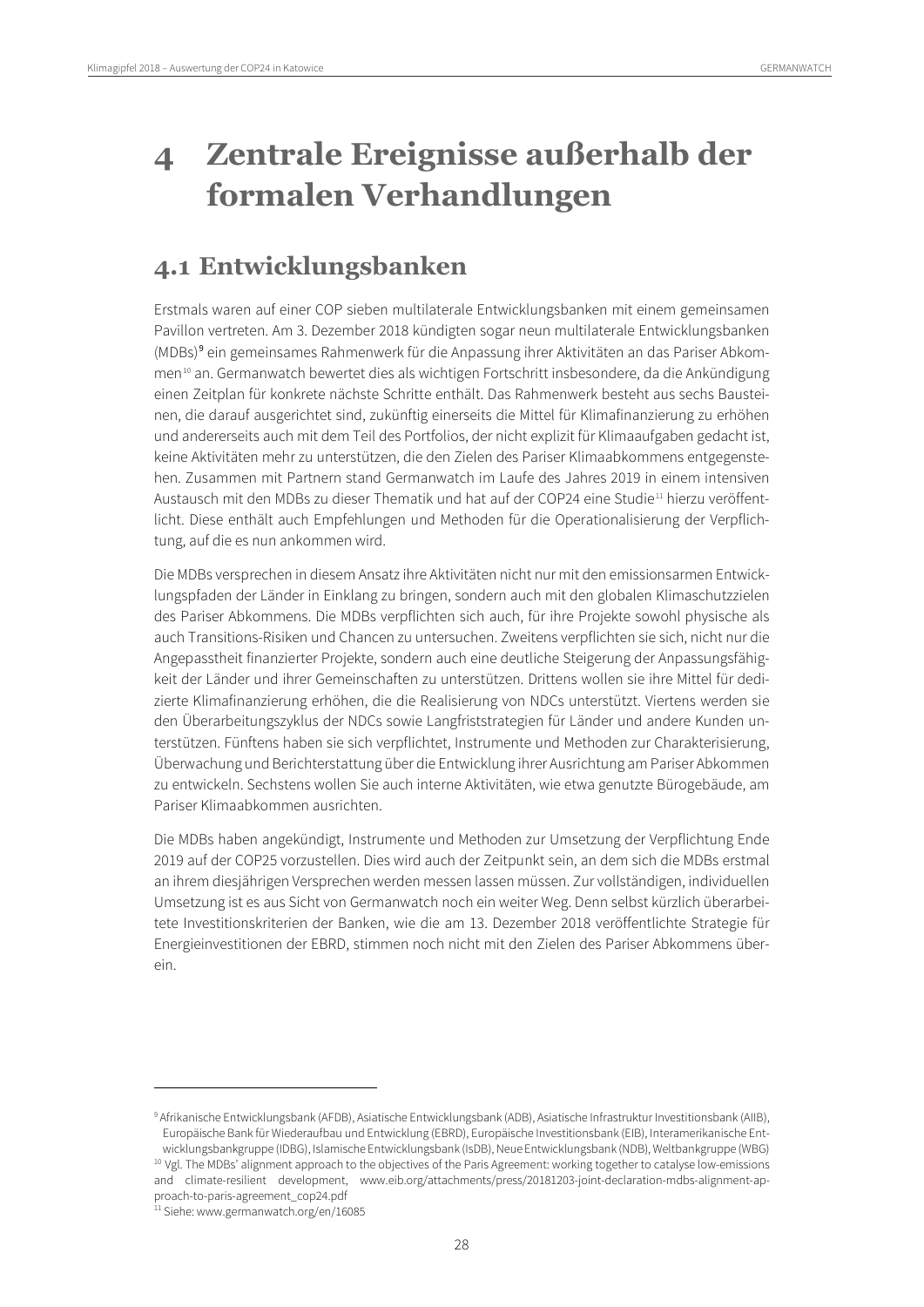# <span id="page-27-0"></span>**4 Zentrale Ereignisse außerhalb der formalen Verhandlungen**

## <span id="page-27-1"></span>**4.1 Entwicklungsbanken**

Erstmals waren auf einer COP sieben multilaterale Entwicklungsbanken mit einem gemeinsamen Pavillon vertreten. Am 3. Dezember 2018 kündigten sogar neun multilaterale Entwicklungsbanken (MDBs)[9](#page-27-2) ein gemeinsames Rahmenwerk für die Anpassung ihrer Aktivitäten an das Pariser Abkommen[10](#page-27-3) an. Germanwatch bewertet dies als wichtigen Fortschritt insbesondere, da die Ankündigung einen Zeitplan für konkrete nächste Schritte enthält. Das Rahmenwerk besteht aus sechs Bausteinen, die darauf ausgerichtet sind, zukünftig einerseits die Mittel für Klimafinanzierung zu erhöhen und andererseits auch mit dem Teil des Portfolios, der nicht explizit für Klimaaufgaben gedacht ist, keine Aktivitäten mehr zu unterstützen, die den Zielen des Pariser Klimaabkommens entgegenstehen. Zusammen mit Partnern stand Germanwatch im Laufe des Jahres 2019 in einem intensiven Austausch mit den MDBs zu dieser Thematik und hat auf der COP24 eine Studie[11](#page-27-4) hierzu veröffentlicht. Diese enthält auch Empfehlungen und Methoden für die Operationalisierung der Verpflichtung, auf die es nun ankommen wird.

Die MDBs versprechen in diesem Ansatz ihre Aktivitäten nicht nur mit den emissionsarmen Entwicklungspfaden der Länder in Einklang zu bringen, sondern auch mit den globalen Klimaschutzzielen des Pariser Abkommens. Die MDBs verpflichten sich auch, für ihre Projekte sowohl physische als auch Transitions-Risiken und Chancen zu untersuchen. Zweitens verpflichten sie sich, nicht nur die Angepasstheit finanzierter Projekte, sondern auch eine deutliche Steigerung der Anpassungsfähigkeit der Länder und ihrer Gemeinschaften zu unterstützen. Drittens wollen sie ihre Mittel für dedizierte Klimafinanzierung erhöhen, die die Realisierung von NDCs unterstützt. Viertens werden sie den Überarbeitungszyklus der NDCs sowie Langfriststrategien für Länder und andere Kunden unterstützen. Fünftens haben sie sich verpflichtet, Instrumente und Methoden zur Charakterisierung, Überwachung und Berichterstattung über die Entwicklung ihrer Ausrichtung am Pariser Abkommen zu entwickeln. Sechstens wollen Sie auch interne Aktivitäten, wie etwa genutzte Bürogebäude, am Pariser Klimaabkommen ausrichten.

Die MDBs haben angekündigt, Instrumente und Methoden zur Umsetzung der Verpflichtung Ende 2019 auf der COP25 vorzustellen. Dies wird auch der Zeitpunkt sein, an dem sich die MDBs erstmal an ihrem diesjährigen Versprechen werden messen lassen müssen. Zur vollständigen, individuellen Umsetzung ist es aus Sicht von Germanwatch noch ein weiter Weg. Denn selbst kürzlich überarbeitete Investitionskriterien der Banken, wie die am 13. Dezember 2018 veröffentlichte Strategie für Energieinvestitionen der EBRD, stimmen noch nicht mit den Zielen des Pariser Abkommens überein.

<span id="page-27-2"></span><sup>9</sup> Afrikanische Entwicklungsbank (AFDB), Asiatische Entwicklungsbank (ADB), Asiatische Infrastruktur Investitionsbank (AIIB), Europäische Bank für Wiederaufbau und Entwicklung (EBRD), Europäische Investitionsbank (EIB), Interamerikanische Entwicklungsbankgruppe (IDBG), Islamische Entwicklungsbank (IsDB), Neue Entwicklungsbank (NDB), Weltbankgruppe (WBG)

<span id="page-27-3"></span><sup>&</sup>lt;sup>10</sup> Vgl. The MDBs' alignment approach to the objectives of the Paris Agreement: working together to catalyse low-emissions and climate-resilient development, www.eib.org/attachments/press/20181203-joint-declaration-mdbs-alignment-approach-to-paris-agreement\_cop24.pdf

<span id="page-27-4"></span><sup>&</sup>lt;sup>11</sup> Siehe: www.germanwatch.org/en/16085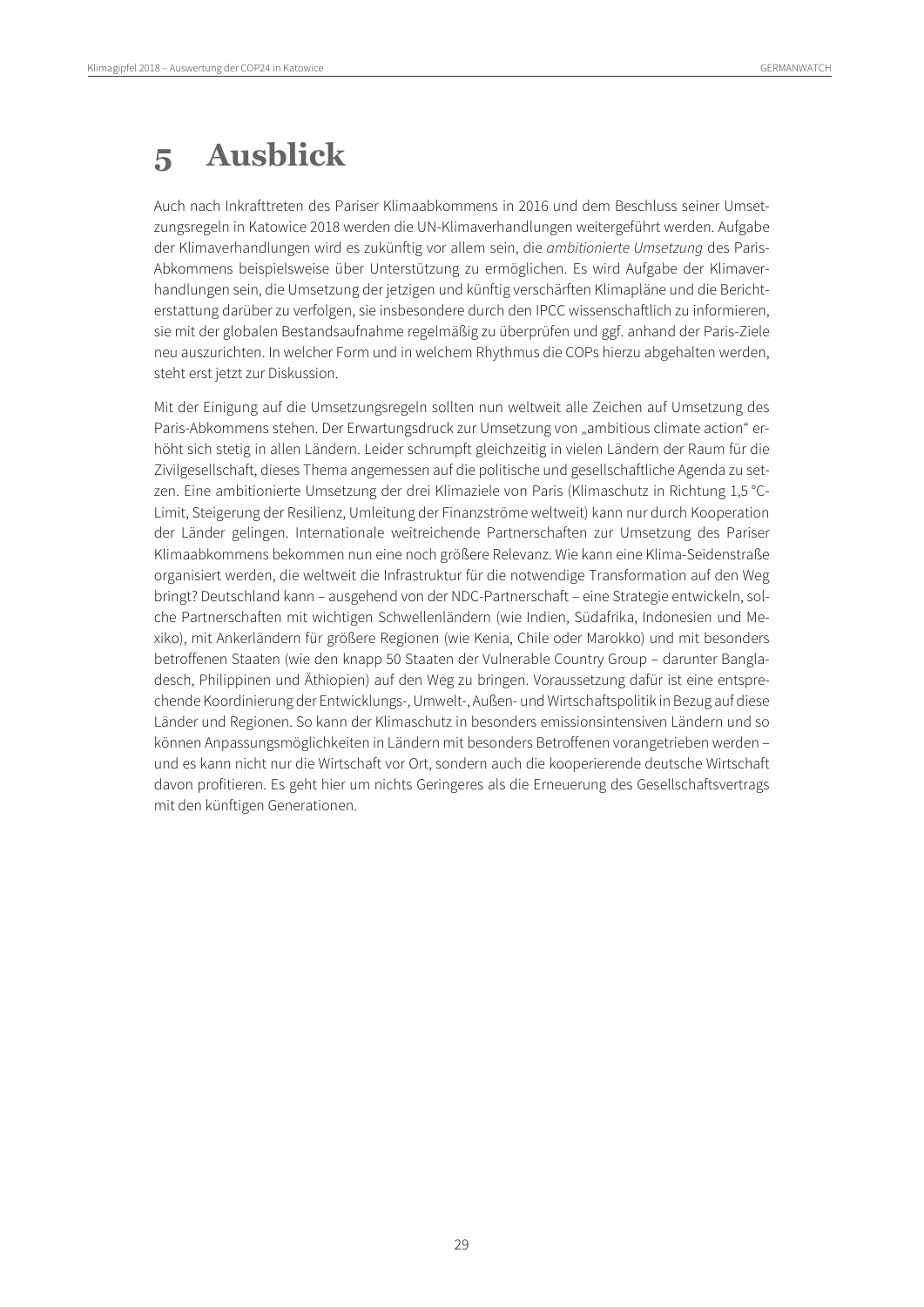# <span id="page-28-0"></span>**5 Ausblick**

Auch nach Inkrafttreten des Pariser Klimaabkommens in 2016 und dem Beschluss seiner Umsetzungsregeln in Katowice 2018 werden die UN-Klimaverhandlungen weitergeführt werden. Aufgabe der Klimaverhandlungen wird es zukünftig vor allem sein, die *ambitionierte Umsetzung* des Paris-Abkommens beispielsweise über Unterstützung zu ermöglichen. Es wird Aufgabe der Klimaverhandlungen sein, die Umsetzung der jetzigen und künftig verschärften Klimapläne und die Berichterstattung darüber zu verfolgen, sie insbesondere durch den IPCC wissenschaftlich zu informieren, sie mit der globalen Bestandsaufnahme regelmäßig zu überprüfen und ggf. anhand der Paris-Ziele neu auszurichten. In welcher Form und in welchem Rhythmus die COPs hierzu abgehalten werden, steht erst jetzt zur Diskussion.

Mit der Einigung auf die Umsetzungsregeln sollten nun weltweit alle Zeichen auf Umsetzung des Paris-Abkommens stehen. Der Erwartungsdruck zur Umsetzung von "ambitious climate action" erhöht sich stetig in allen Ländern. Leider schrumpft gleichzeitig in vielen Ländern der Raum für die Zivilgesellschaft, dieses Thema angemessen auf die politische und gesellschaftliche Agenda zu setzen. Eine ambitionierte Umsetzung der drei Klimaziele von Paris (Klimaschutz in Richtung 1,5 °C-Limit, Steigerung der Resilienz, Umleitung der Finanzströme weltweit) kann nur durch Kooperation der Länder gelingen. Internationale weitreichende Partnerschaften zur Umsetzung des Pariser Klimaabkommens bekommen nun eine noch größere Relevanz. Wie kann eine Klima-Seidenstraße organisiert werden, die weltweit die Infrastruktur für die notwendige Transformation auf den Weg bringt? Deutschland kann – ausgehend von der NDC-Partnerschaft – eine Strategie entwickeln, solche Partnerschaften mit wichtigen Schwellenländern (wie Indien, Südafrika, Indonesien und Mexiko), mit Ankerländern für größere Regionen (wie Kenia, Chile oder Marokko) und mit besonders betroffenen Staaten (wie den knapp 50 Staaten der Vulnerable Country Group – darunter Bangladesch, Philippinen und Äthiopien) auf den Weg zu bringen. Voraussetzung dafür ist eine entsprechende Koordinierung der Entwicklungs-, Umwelt-, Außen- und Wirtschaftspolitik in Bezug auf diese Länder und Regionen. So kann der Klimaschutz in besonders emissionsintensiven Ländern und so können Anpassungsmöglichkeiten in Ländern mit besonders Betroffenen vorangetrieben werden – und es kann nicht nur die Wirtschaft vor Ort, sondern auch die kooperierende deutsche Wirtschaft davon profitieren. Es geht hier um nichts Geringeres als die Erneuerung des Gesellschaftsvertrags mit den künftigen Generationen.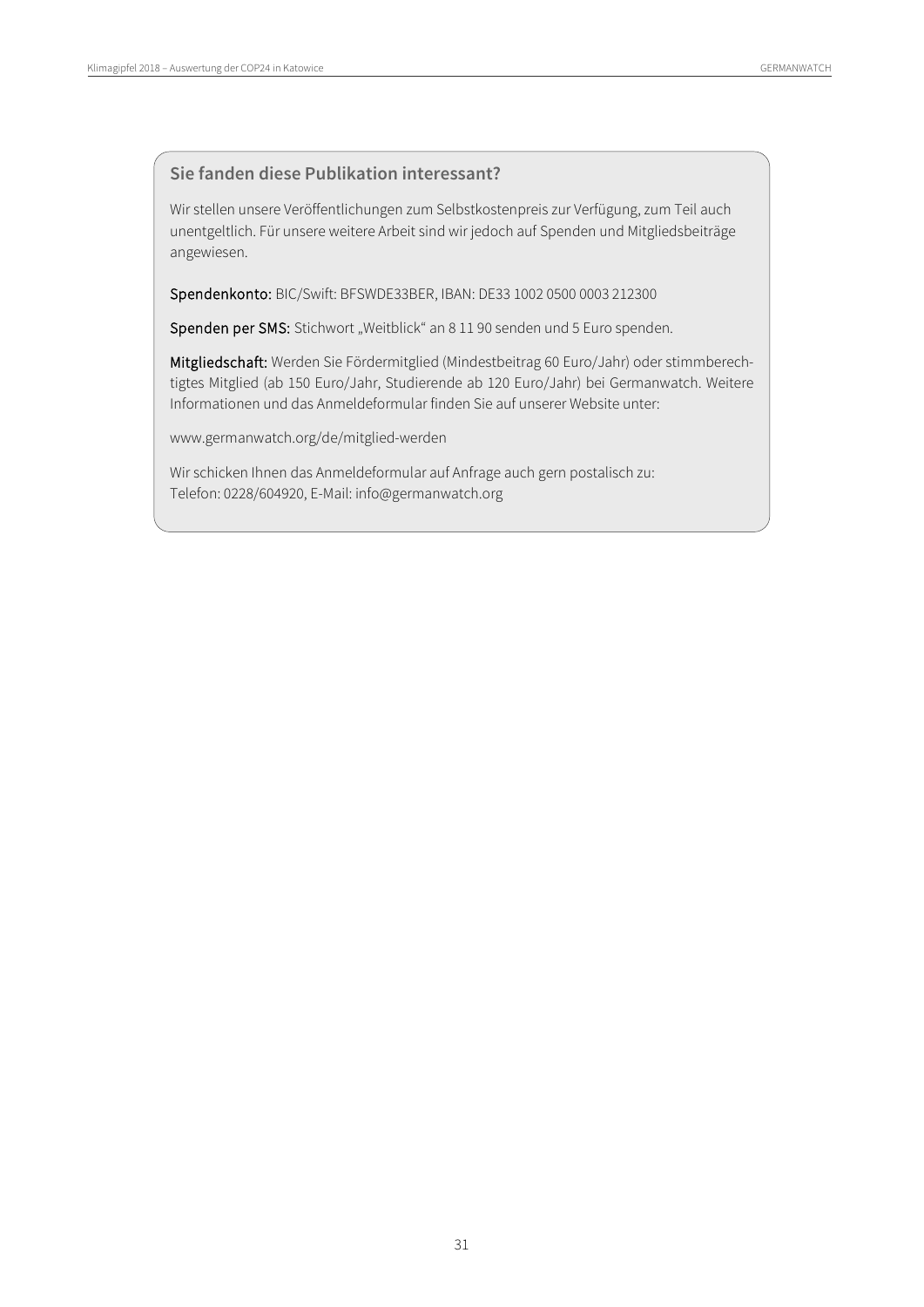#### **Sie fanden diese Publikation interessant?**

Wir stellen unsere Veröffentlichungen zum Selbstkostenpreis zur Verfügung, zum Teil auch unentgeltlich. Für unsere weitere Arbeit sind wir jedoch auf Spenden und Mitgliedsbeiträge angewiesen.

Spendenkonto: BIC/Swift: BFSWDE33BER, IBAN: DE33 1002 0500 0003 212300

Spenden per SMS: Stichwort "Weitblick" an 8 11 90 senden und 5 Euro spenden.

Mitgliedschaft: Werden Sie Fördermitglied (Mindestbeitrag 60 Euro/Jahr) oder stimmberechtigtes Mitglied (ab 150 Euro/Jahr, Studierende ab 120 Euro/Jahr) bei Germanwatch. Weitere Informationen und das Anmeldeformular finden Sie auf unserer Website unter:

www.germanwatch.org/de/mitglied-werden

Wir schicken Ihnen das Anmeldeformular auf Anfrage auch gern postalisch zu: Telefon: 0228/604920, E-Mail: info@germanwatch.org